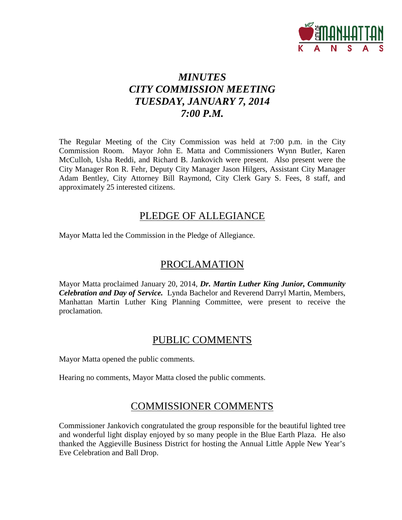

# *MINUTES CITY COMMISSION MEETING TUESDAY, JANUARY 7, 2014 7:00 P.M.*

The Regular Meeting of the City Commission was held at 7:00 p.m. in the City Commission Room. Mayor John E. Matta and Commissioners Wynn Butler, Karen McCulloh, Usha Reddi, and Richard B. Jankovich were present. Also present were the City Manager Ron R. Fehr, Deputy City Manager Jason Hilgers, Assistant City Manager Adam Bentley, City Attorney Bill Raymond, City Clerk Gary S. Fees, 8 staff, and approximately 25 interested citizens.

# PLEDGE OF ALLEGIANCE

Mayor Matta led the Commission in the Pledge of Allegiance.

# PROCLAMATION

Mayor Matta proclaimed January 20, 2014, *Dr. Martin Luther King Junior, Community Celebration and Day of Service.* Lynda Bachelor and Reverend Darryl Martin, Members, Manhattan Martin Luther King Planning Committee, were present to receive the proclamation.

# PUBLIC COMMENTS

Mayor Matta opened the public comments.

Hearing no comments, Mayor Matta closed the public comments.

# COMMISSIONER COMMENTS

Commissioner Jankovich congratulated the group responsible for the beautiful lighted tree and wonderful light display enjoyed by so many people in the Blue Earth Plaza. He also thanked the Aggieville Business District for hosting the Annual Little Apple New Year's Eve Celebration and Ball Drop.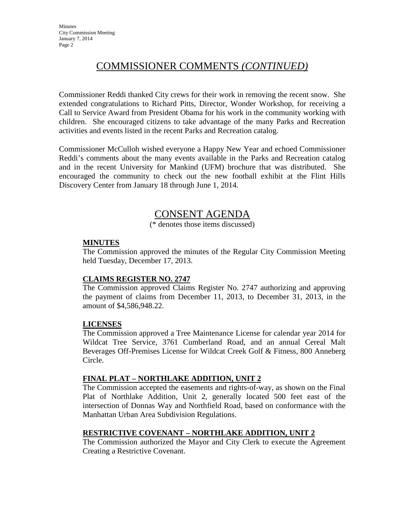# COMMISSIONER COMMENTS *(CONTINUED)*

Commissioner Reddi thanked City crews for their work in removing the recent snow. She extended congratulations to Richard Pitts, Director, Wonder Workshop, for receiving a Call to Service Award from President Obama for his work in the community working with children. She encouraged citizens to take advantage of the many Parks and Recreation activities and events listed in the recent Parks and Recreation catalog.

Commissioner McCulloh wished everyone a Happy New Year and echoed Commissioner Reddi's comments about the many events available in the Parks and Recreation catalog and in the recent University for Mankind (UFM) brochure that was distributed. She encouraged the community to check out the new football exhibit at the Flint Hills Discovery Center from January 18 through June 1, 2014.

# CONSENT AGENDA

(\* denotes those items discussed)

## **MINUTES**

The Commission approved the minutes of the Regular City Commission Meeting held Tuesday, December 17, 2013.

## **CLAIMS REGISTER NO. 2747**

The Commission approved Claims Register No. 2747 authorizing and approving the payment of claims from December 11, 2013, to December 31, 2013, in the amount of \$4,586,948.22.

## **LICENSES**

The Commission approved a Tree Maintenance License for calendar year 2014 for Wildcat Tree Service, 3761 Cumberland Road, and an annual Cereal Malt Beverages Off-Premises License for Wildcat Creek Golf & Fitness, 800 Anneberg Circle.

## **FINAL PLAT – NORTHLAKE ADDITION, UNIT 2**

The Commission accepted the easements and rights-of-way, as shown on the Final Plat of Northlake Addition, Unit 2, generally located 500 feet east of the intersection of Donnas Way and Northfield Road, based on conformance with the Manhattan Urban Area Subdivision Regulations.

## **RESTRICTIVE COVENANT – NORTHLAKE ADDITION, UNIT 2**

The Commission authorized the Mayor and City Clerk to execute the Agreement Creating a Restrictive Covenant.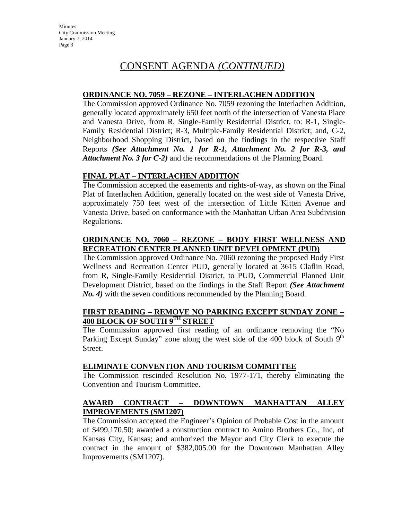# CONSENT AGENDA *(CONTINUED)*

## **ORDINANCE NO. 7059 – REZONE – INTERLACHEN ADDITION**

The Commission approved Ordinance No. 7059 rezoning the Interlachen Addition, generally located approximately 650 feet north of the intersection of Vanesta Place and Vanesta Drive, from R, Single-Family Residential District, to: R-1, Single-Family Residential District; R-3, Multiple-Family Residential District; and, C-2, Neighborhood Shopping District, based on the findings in the respective Staff Reports *(See Attachment No. 1 for R-1, Attachment No. 2 for R-3, and Attachment No. 3 for C-2)* and the recommendations of the Planning Board.

## **FINAL PLAT – INTERLACHEN ADDITION**

The Commission accepted the easements and rights-of-way, as shown on the Final Plat of Interlachen Addition, generally located on the west side of Vanesta Drive, approximately 750 feet west of the intersection of Little Kitten Avenue and Vanesta Drive, based on conformance with the Manhattan Urban Area Subdivision Regulations.

## **ORDINANCE NO. 7060 – REZONE – BODY FIRST WELLNESS AND RECREATION CENTER PLANNED UNIT DEVELOPMENT (PUD)**

The Commission approved Ordinance No. 7060 rezoning the proposed Body First Wellness and Recreation Center PUD, generally located at 3615 Claflin Road, from R, Single-Family Residential District, to PUD, Commercial Planned Unit Development District, based on the findings in the Staff Report *(See Attachment No. 4)* with the seven conditions recommended by the Planning Board.

## **FIRST READING – REMOVE NO PARKING EXCEPT SUNDAY ZONE – 400 BLOCK OF SOUTH 9TH STREET**

The Commission approved first reading of an ordinance removing the "No Parking Except Sunday" zone along the west side of the 400 block of South  $9<sup>th</sup>$ Street.

## **ELIMINATE CONVENTION AND TOURISM COMMITTEE**

The Commission rescinded Resolution No. 1977-171, thereby eliminating the Convention and Tourism Committee.

## **AWARD CONTRACT – DOWNTOWN MANHATTAN ALLEY IMPROVEMENTS (SM1207)**

The Commission accepted the Engineer's Opinion of Probable Cost in the amount of \$499,170.50; awarded a construction contract to Amino Brothers Co., Inc, of Kansas City, Kansas; and authorized the Mayor and City Clerk to execute the contract in the amount of \$382,005.00 for the Downtown Manhattan Alley Improvements (SM1207).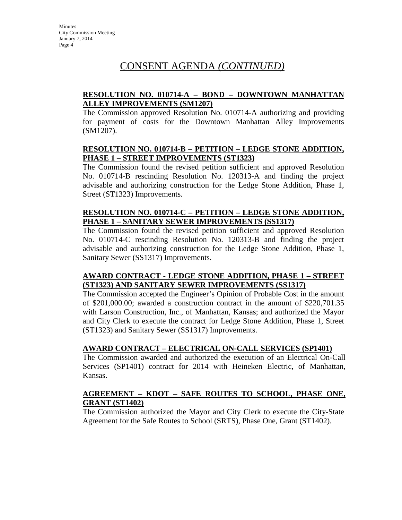# CONSENT AGENDA *(CONTINUED)*

## **RESOLUTION NO. 010714-A – BOND – DOWNTOWN MANHATTAN ALLEY IMPROVEMENTS (SM1207)**

The Commission approved Resolution No. 010714-A authorizing and providing for payment of costs for the Downtown Manhattan Alley Improvements (SM1207).

## **RESOLUTION NO. 010714-B – PETITION – LEDGE STONE ADDITION, PHASE 1 – STREET IMPROVEMENTS (ST1323)**

The Commission found the revised petition sufficient and approved Resolution No. 010714-B rescinding Resolution No. 120313-A and finding the project advisable and authorizing construction for the Ledge Stone Addition, Phase 1, Street (ST1323) Improvements.

## **RESOLUTION NO. 010714-C – PETITION – LEDGE STONE ADDITION, PHASE 1 – SANITARY SEWER IMPROVEMENTS (SS1317)**

The Commission found the revised petition sufficient and approved Resolution No. 010714-C rescinding Resolution No. 120313-B and finding the project advisable and authorizing construction for the Ledge Stone Addition, Phase 1, Sanitary Sewer (SS1317) Improvements.

## **AWARD CONTRACT - LEDGE STONE ADDITION, PHASE 1 – STREET (ST1323) AND SANITARY SEWER IMPROVEMENTS (SS1317)**

The Commission accepted the Engineer's Opinion of Probable Cost in the amount of \$201,000.00; awarded a construction contract in the amount of \$220,701.35 with Larson Construction, Inc., of Manhattan, Kansas; and authorized the Mayor and City Clerk to execute the contract for Ledge Stone Addition, Phase 1, Street (ST1323) and Sanitary Sewer (SS1317) Improvements.

## **AWARD CONTRACT – ELECTRICAL ON-CALL SERVICES (SP1401)**

The Commission awarded and authorized the execution of an Electrical On-Call Services (SP1401) contract for 2014 with Heineken Electric, of Manhattan, Kansas.

## **AGREEMENT – KDOT – SAFE ROUTES TO SCHOOL, PHASE ONE, GRANT (ST1402)**

The Commission authorized the Mayor and City Clerk to execute the City-State Agreement for the Safe Routes to School (SRTS), Phase One, Grant (ST1402).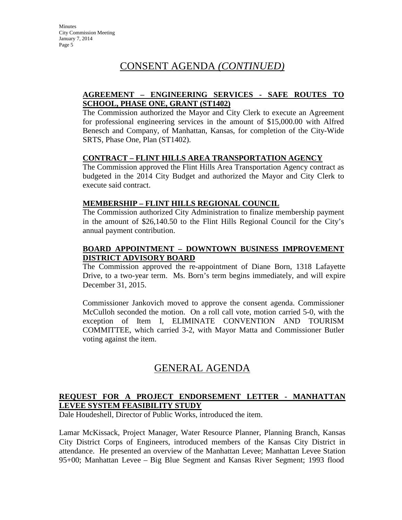# CONSENT AGENDA *(CONTINUED)*

## **AGREEMENT – ENGINEERING SERVICES - SAFE ROUTES TO SCHOOL, PHASE ONE, GRANT (ST1402)**

The Commission authorized the Mayor and City Clerk to execute an Agreement for professional engineering services in the amount of \$15,000.00 with Alfred Benesch and Company, of Manhattan, Kansas, for completion of the City-Wide SRTS, Phase One, Plan (ST1402).

### **CONTRACT – FLINT HILLS AREA TRANSPORTATION AGENCY**

The Commission approved the Flint Hills Area Transportation Agency contract as budgeted in the 2014 City Budget and authorized the Mayor and City Clerk to execute said contract.

### **MEMBERSHIP – FLINT HILLS REGIONAL COUNCIL**

The Commission authorized City Administration to finalize membership payment in the amount of \$26,140.50 to the Flint Hills Regional Council for the City's annual payment contribution.

## **BOARD APPOINTMENT – DOWNTOWN BUSINESS IMPROVEMENT DISTRICT ADVISORY BOARD**

The Commission approved the re-appointment of Diane Born, 1318 Lafayette Drive, to a two-year term. Ms. Born's term begins immediately, and will expire December 31, 2015.

Commissioner Jankovich moved to approve the consent agenda. Commissioner McCulloh seconded the motion. On a roll call vote, motion carried 5-0, with the exception of Item I, ELIMINATE CONVENTION AND TOURISM COMMITTEE, which carried 3-2, with Mayor Matta and Commissioner Butler voting against the item.

# GENERAL AGENDA

## **REQUEST FOR A PROJECT ENDORSEMENT LETTER - MANHATTAN LEVEE SYSTEM FEASIBILITY STUDY**

Dale Houdeshell, Director of Public Works, introduced the item.

Lamar McKissack, Project Manager, Water Resource Planner, Planning Branch, Kansas City District Corps of Engineers, introduced members of the Kansas City District in attendance. He presented an overview of the Manhattan Levee; Manhattan Levee Station 95+00; Manhattan Levee – Big Blue Segment and Kansas River Segment; 1993 flood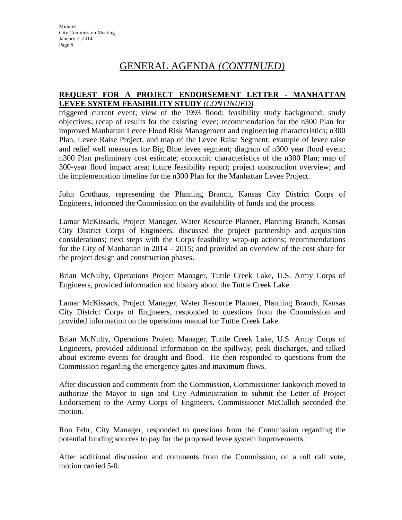# GENERAL AGENDA *(CONTINUED)*

## **REQUEST FOR A PROJECT ENDORSEMENT LETTER - MANHATTAN LEVEE SYSTEM FEASIBILITY STUDY** *(CONTINUED)*

triggered current event; view of the 1993 flood; feasibility study background; study objectives; recap of results for the existing levee; recommendation for the n300 Plan for improved Manhattan Levee Flood Risk Management and engineering characteristics; n300 Plan, Levee Raise Project, and map of the Levee Raise Segment; example of levee raise and relief well measures for Big Blue levee segment; diagram of n300 year flood event; n300 Plan preliminary cost estimate; economic characteristics of the n300 Plan; map of 300-year flood impact area; future feasibility report; project construction overview; and the implementation timeline for the n300 Plan for the Manhattan Levee Project.

John Grothaus, representing the Planning Branch, Kansas City District Corps of Engineers, informed the Commission on the availability of funds and the process.

Lamar McKissack, Project Manager, Water Resource Planner, Planning Branch, Kansas City District Corps of Engineers, discussed the project partnership and acquisition considerations; next steps with the Corps feasibility wrap-up actions; recommendations for the City of Manhattan in 2014 – 2015; and provided an overview of the cost share for the project design and construction phases.

Brian McNulty, Operations Project Manager, Tuttle Creek Lake, U.S. Army Corps of Engineers, provided information and history about the Tuttle Creek Lake.

Lamar McKissack, Project Manager, Water Resource Planner, Planning Branch, Kansas City District Corps of Engineers, responded to questions from the Commission and provided information on the operations manual for Tuttle Creek Lake.

Brian McNulty, Operations Project Manager, Tuttle Creek Lake, U.S. Army Corps of Engineers, provided additional information on the spillway, peak discharges, and talked about extreme events for draught and flood. He then responded to questions from the Commission regarding the emergency gates and maximum flows.

After discussion and comments from the Commission, Commissioner Jankovich moved to authorize the Mayor to sign and City Administration to submit the Letter of Project Endorsement to the Army Corps of Engineers. Commissioner McCulloh seconded the motion.

Ron Fehr, City Manager, responded to questions from the Commission regarding the potential funding sources to pay for the proposed levee system improvements.

After additional discussion and comments from the Commission, on a roll call vote, motion carried 5-0.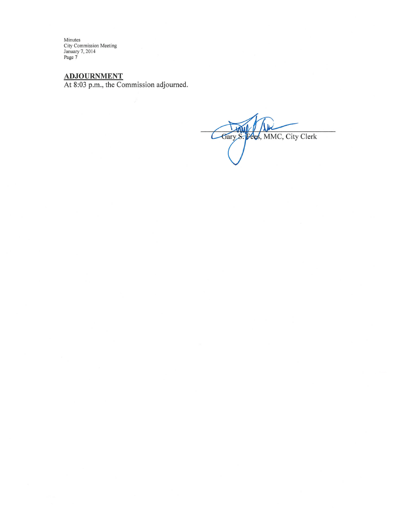Minutes<br>City Commission Meeting<br>January 7, 2014<br>Page 7

ADJOURNMENT<br>At 8:03 p.m., the Commission adjourned.

Gary S. Fees, MMC, City Clerk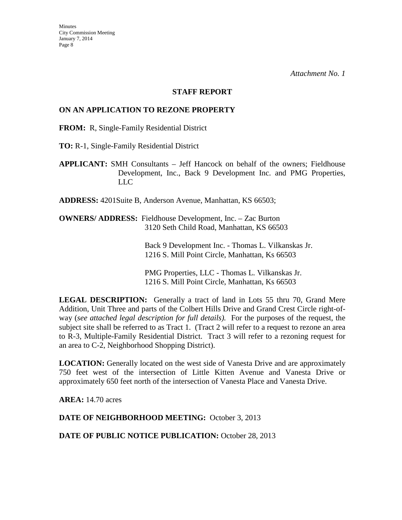#### **STAFF REPORT**

## **ON AN APPLICATION TO REZONE PROPERTY**

**FROM:** R, Single-Family Residential District

**TO:** R-1, Single-Family Residential District

**APPLICANT:** SMH Consultants – Jeff Hancock on behalf of the owners; Fieldhouse Development, Inc., Back 9 Development Inc. and PMG Properties, LLC

**ADDRESS:** 4201Suite B, Anderson Avenue, Manhattan, KS 66503;

**OWNERS/ ADDRESS:** Fieldhouse Development, Inc. – Zac Burton 3120 Seth Child Road, Manhattan, KS 66503

> Back 9 Development Inc. - Thomas L. Vilkanskas Jr. 1216 S. Mill Point Circle, Manhattan, Ks 66503

PMG Properties, LLC - Thomas L. Vilkanskas Jr. 1216 S. Mill Point Circle, Manhattan, Ks 66503

**LEGAL DESCRIPTION:** Generally a tract of land in Lots 55 thru 70, Grand Mere Addition, Unit Three and parts of the Colbert Hills Drive and Grand Crest Circle right-ofway (*see attached legal description for full details).* For the purposes of the request, the subject site shall be referred to as Tract 1. (Tract 2 will refer to a request to rezone an area to R-3, Multiple-Family Residential District. Tract 3 will refer to a rezoning request for an area to C-2, Neighborhood Shopping District).

**LOCATION:** Generally located on the west side of Vanesta Drive and are approximately 750 feet west of the intersection of Little Kitten Avenue and Vanesta Drive or approximately 650 feet north of the intersection of Vanesta Place and Vanesta Drive.

**AREA:** 14.70 acres

**DATE OF NEIGHBORHOOD MEETING:** October 3, 2013

DATE OF PUBLIC NOTICE PUBLICATION: October 28, 2013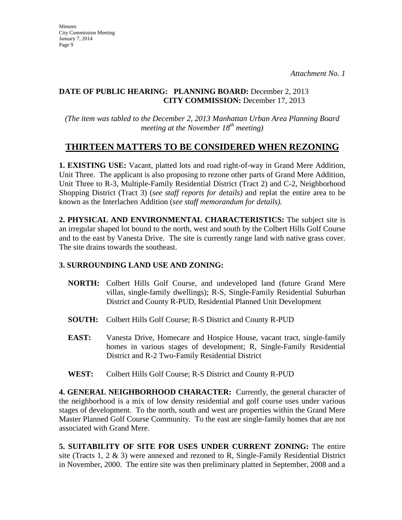## **DATE OF PUBLIC HEARING: PLANNING BOARD:** December 2, 2013 **CITY COMMISSION:** December 17, 2013

*(The item was tabled to the December 2, 2013 Manhattan Urban Area Planning Board meeting at the November 18th meeting)*

# **THIRTEEN MATTERS TO BE CONSIDERED WHEN REZONING**

**1. EXISTING USE:** Vacant, platted lots and road right-of-way in Grand Mere Addition, Unit Three. The applicant is also proposing to rezone other parts of Grand Mere Addition, Unit Three to R-3, Multiple-Family Residential District (Tract 2) and C-2, Neighborhood Shopping District (Tract 3) (*see staff reports for details)* and replat the entire area to be known as the Interlachen Addition (*see staff memorandum for details).*

**2. PHYSICAL AND ENVIRONMENTAL CHARACTERISTICS:** The subject site is an irregular shaped lot bound to the north, west and south by the Colbert Hills Golf Course and to the east by Vanesta Drive. The site is currently range land with native grass cover. The site drains towards the southeast.

## **3. SURROUNDING LAND USE AND ZONING:**

- **NORTH:** Colbert Hills Golf Course, and undeveloped land (future Grand Mere villas, single-family dwellings); R-S, Single-Family Residential Suburban District and County R-PUD, Residential Planned Unit Development
- **SOUTH:** Colbert Hills Golf Course; R-S District and County R-PUD
- **EAST:** Vanesta Drive, Homecare and Hospice House, vacant tract, single-family homes in various stages of development; R, Single-Family Residential District and R-2 Two-Family Residential District
- **WEST:** Colbert Hills Golf Course; R-S District and County R-PUD

**4. GENERAL NEIGHBORHOOD CHARACTER:** Currently, the general character of the neighborhood is a mix of low density residential and golf course uses under various stages of development. To the north, south and west are properties within the Grand Mere Master Planned Golf Course Community. To the east are single-family homes that are not associated with Grand Mere.

**5. SUITABILITY OF SITE FOR USES UNDER CURRENT ZONING:** The entire site (Tracts 1, 2  $\&$  3) were annexed and rezoned to R, Single-Family Residential District in November, 2000. The entire site was then preliminary platted in September, 2008 and a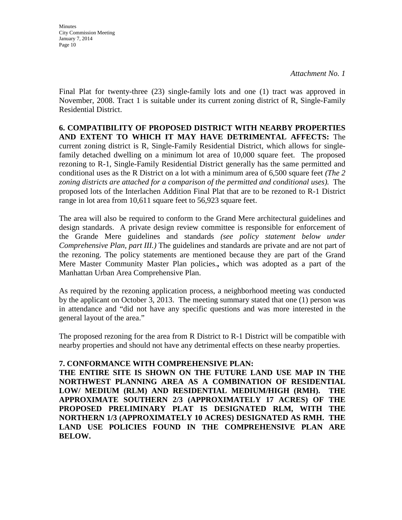**Minutes** City Commission Meeting January 7, 2014 Page 10

*Attachment No. 1*

Final Plat for twenty-three (23) single-family lots and one (1) tract was approved in November, 2008. Tract 1 is suitable under its current zoning district of R, Single-Family Residential District.

**6. COMPATIBILITY OF PROPOSED DISTRICT WITH NEARBY PROPERTIES AND EXTENT TO WHICH IT MAY HAVE DETRIMENTAL AFFECTS:** The current zoning district is R, Single-Family Residential District, which allows for singlefamily detached dwelling on a minimum lot area of 10,000 square feet. The proposed rezoning to R-1, Single-Family Residential District generally has the same permitted and conditional uses as the R District on a lot with a minimum area of 6,500 square feet *(The 2 zoning districts are attached for a comparison of the permitted and conditional uses).* The proposed lots of the Interlachen Addition Final Plat that are to be rezoned to R-1 District range in lot area from 10,611 square feet to 56,923 square feet.

The area will also be required to conform to the Grand Mere architectural guidelines and design standards. A private design review committee is responsible for enforcement of the Grande Mere guidelines and standards *(see policy statement below under Comprehensive Plan, part III.)* The guidelines and standards are private and are not part of the rezoning. The policy statements are mentioned because they are part of the Grand Mere Master Community Master Plan policies.**,** which was adopted as a part of the Manhattan Urban Area Comprehensive Plan.

As required by the rezoning application process, a neighborhood meeting was conducted by the applicant on October 3, 2013. The meeting summary stated that one (1) person was in attendance and "did not have any specific questions and was more interested in the general layout of the area."

The proposed rezoning for the area from R District to R-1 District will be compatible with nearby properties and should not have any detrimental effects on these nearby properties.

### **7. CONFORMANCE WITH COMPREHENSIVE PLAN:**

**THE ENTIRE SITE IS SHOWN ON THE FUTURE LAND USE MAP IN THE NORTHWEST PLANNING AREA AS A COMBINATION OF RESIDENTIAL LOW/ MEDIUM (RLM) AND RESIDENTIAL MEDIUM/HIGH (RMH). THE APPROXIMATE SOUTHERN 2/3 (APPROXIMATELY 17 ACRES) OF THE PROPOSED PRELIMINARY PLAT IS DESIGNATED RLM, WITH THE NORTHERN 1/3 (APPROXIMATELY 10 ACRES) DESIGNATED AS RMH. THE LAND USE POLICIES FOUND IN THE COMPREHENSIVE PLAN ARE BELOW.**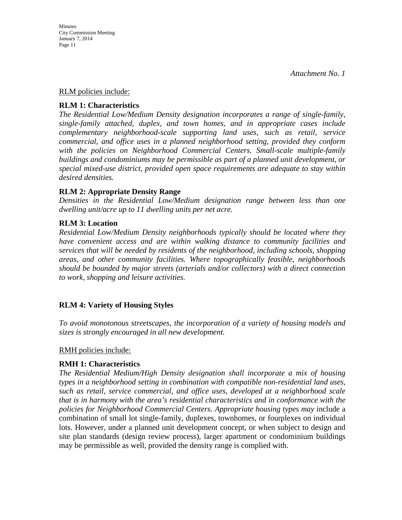#### RLM policies include:

## **RLM 1: Characteristics**

*The Residential Low/Medium Density designation incorporates a range of single-family, single-family attached, duplex, and town homes, and in appropriate cases include complementary neighborhood-scale supporting land uses, such as retail, service commercial, and office uses in a planned neighborhood setting, provided they conform*  with the policies on Neighborhood Commercial Centers. Small-scale multiple-family *buildings and condominiums may be permissible as part of a planned unit development, or special mixed-use district, provided open space requirements are adequate to stay within desired densities.* 

## **RLM 2: Appropriate Density Range**

*Densities in the Residential Low/Medium designation range between less than one dwelling unit/acre up to 11 dwelling units per net acre.* 

## **RLM 3: Location**

*Residential Low/Medium Density neighborhoods typically should be located where they have convenient access and are within walking distance to community facilities and services that will be needed by residents of the neighborhood, including schools, shopping areas, and other community facilities. Where topographically feasible, neighborhoods should be bounded by major streets (arterials and/or collectors) with a direct connection to work, shopping and leisure activities.*

## **RLM 4: Variety of Housing Styles**

*To avoid monotonous streetscapes, the incorporation of a variety of housing models and sizes is strongly encouraged in all new development.* 

### RMH policies include:

## **RMH 1: Characteristics**

*The Residential Medium/High Density designation shall incorporate a mix of housing types in a neighborhood setting in combination with compatible non-residential land uses, such as retail, service commercial, and office uses, developed at a neighborhood scale that is in harmony with the area's residential characteristics and in conformance with the policies for Neighborhood Commercial Centers. Appropriate housing types may* include a combination of small lot single-family, duplexes, townhomes, or fourplexes on individual lots. However, under a planned unit development concept, or when subject to design and site plan standards (design review process), larger apartment or condominium buildings may be permissible as well, provided the density range is complied with.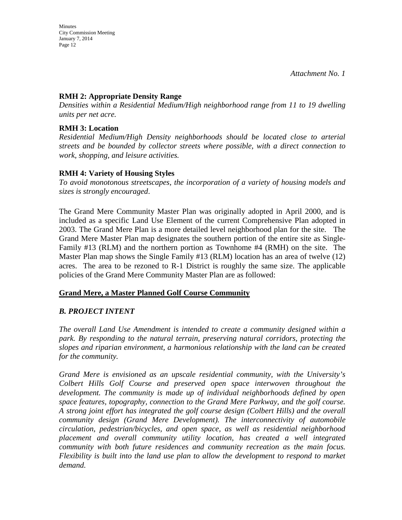## **RMH 2: Appropriate Density Range**

*Densities within a Residential Medium/High neighborhood range from 11 to 19 dwelling units per net acre.* 

## **RMH 3: Location**

*Residential Medium/High Density neighborhoods should be located close to arterial streets and be bounded by collector streets where possible, with a direct connection to work, shopping, and leisure activities.* 

## **RMH 4: Variety of Housing Styles**

*To avoid monotonous streetscapes, the incorporation of a variety of housing models and sizes is strongly encouraged*.

The Grand Mere Community Master Plan was originally adopted in April 2000, and is included as a specific Land Use Element of the current Comprehensive Plan adopted in 2003. The Grand Mere Plan is a more detailed level neighborhood plan for the site. The Grand Mere Master Plan map designates the southern portion of the entire site as Single-Family #13 (RLM) and the northern portion as Townhome #4 (RMH) on the site. The Master Plan map shows the Single Family #13 (RLM) location has an area of twelve (12) acres. The area to be rezoned to R-1 District is roughly the same size. The applicable policies of the Grand Mere Community Master Plan are as followed:

## **Grand Mere, a Master Planned Golf Course Community**

## *B. PROJECT INTENT*

*The overall Land Use Amendment is intended to create a community designed within a park. By responding to the natural terrain, preserving natural corridors, protecting the slopes and riparian environment, a harmonious relationship with the land can be created for the community.*

*Grand Mere is envisioned as an upscale residential community, with the University's Colbert Hills Golf Course and preserved open space interwoven throughout the development. The community is made up of individual neighborhoods defined by open space features, topography, connection to the Grand Mere Parkway, and the golf course. A strong joint effort has integrated the golf course design (Colbert Hills) and the overall community design (Grand Mere Development). The interconnectivity of automobile circulation, pedestrian/bicycles, and open space, as well as residential neighborhood placement and overall community utility location, has created a well integrated community with both future residences and community recreation as the main focus. Flexibility is built into the land use plan to allow the development to respond to market demand.*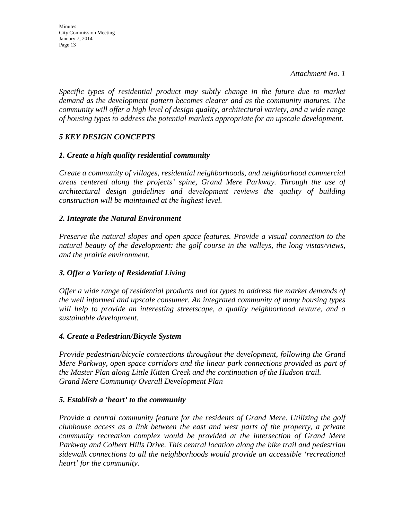*Specific types of residential product may subtly change in the future due to market demand as the development pattern becomes clearer and as the community matures. The community will offer a high level of design quality, architectural variety, and a wide range of housing types to address the potential markets appropriate for an upscale development.*

## *5 KEY DESIGN CONCEPTS*

## *1. Create a high quality residential community*

*Create a community of villages, residential neighborhoods, and neighborhood commercial areas centered along the projects' spine, Grand Mere Parkway. Through the use of architectural design guidelines and development reviews the quality of building construction will be maintained at the highest level.*

## *2. Integrate the Natural Environment*

*Preserve the natural slopes and open space features. Provide a visual connection to the natural beauty of the development: the golf course in the valleys, the long vistas/views, and the prairie environment.*

## *3. Offer a Variety of Residential Living*

*Offer a wide range of residential products and lot types to address the market demands of the well informed and upscale consumer. An integrated community of many housing types will help to provide an interesting streetscape, a quality neighborhood texture, and a sustainable development.*

## *4. Create a Pedestrian/Bicycle System*

*Provide pedestrian/bicycle connections throughout the development, following the Grand Mere Parkway, open space corridors and the linear park connections provided as part of the Master Plan along Little Kitten Creek and the continuation of the Hudson trail. Grand Mere Community Overall Development Plan* 

### *5. Establish a 'heart' to the community*

*Provide a central community feature for the residents of Grand Mere. Utilizing the golf clubhouse access as a link between the east and west parts of the property, a private community recreation complex would be provided at the intersection of Grand Mere Parkway and Colbert Hills Drive. This central location along the bike trail and pedestrian sidewalk connections to all the neighborhoods would provide an accessible 'recreational heart' for the community.*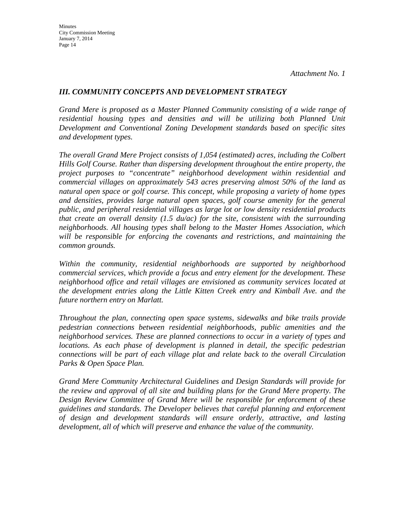## *III. COMMUNITY CONCEPTS AND DEVELOPMENT STRATEGY*

*Grand Mere is proposed as a Master Planned Community consisting of a wide range of residential housing types and densities and will be utilizing both Planned Unit Development and Conventional Zoning Development standards based on specific sites and development types.*

*The overall Grand Mere Project consists of 1,054 (estimated) acres, including the Colbert Hills Golf Course. Rather than dispersing development throughout the entire property, the project purposes to "concentrate" neighborhood development within residential and commercial villages on approximately 543 acres preserving almost 50% of the land as natural open space or golf course. This concept, while proposing a variety of home types and densities, provides large natural open spaces, golf course amenity for the general public, and peripheral residential villages as large lot or low density residential products that create an overall density (1.5 du/ac) for the site, consistent with the surrounding neighborhoods. All housing types shall belong to the Master Homes Association, which will be responsible for enforcing the covenants and restrictions, and maintaining the common grounds.*

*Within the community, residential neighborhoods are supported by neighborhood commercial services, which provide a focus and entry element for the development. These neighborhood office and retail villages are envisioned as community services located at the development entries along the Little Kitten Creek entry and Kimball Ave. and the future northern entry on Marlatt.*

*Throughout the plan, connecting open space systems, sidewalks and bike trails provide pedestrian connections between residential neighborhoods, public amenities and the neighborhood services. These are planned connections to occur in a variety of types and locations. As each phase of development is planned in detail, the specific pedestrian connections will be part of each village plat and relate back to the overall Circulation Parks & Open Space Plan.*

*Grand Mere Community Architectural Guidelines and Design Standards will provide for the review and approval of all site and building plans for the Grand Mere property. The Design Review Committee of Grand Mere will be responsible for enforcement of these guidelines and standards. The Developer believes that careful planning and enforcement of design and development standards will ensure orderly, attractive, and lasting development, all of which will preserve and enhance the value of the community.*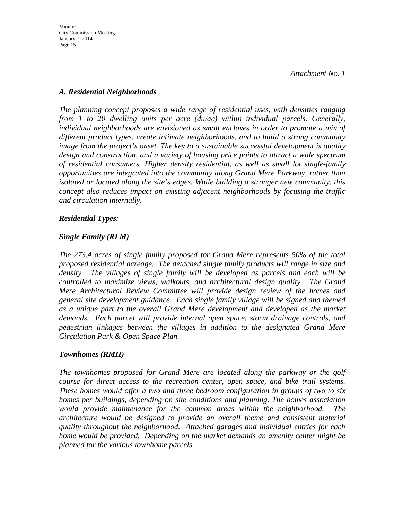## *A. Residential Neighborhoods*

*The planning concept proposes a wide range of residential uses, with densities ranging from 1 to 20 dwelling units per acre (du/ac) within individual parcels. Generally, individual neighborhoods are envisioned as small enclaves in order to promote a mix of different product types, create intimate neighborhoods, and to build a strong community image from the project's onset. The key to a sustainable successful development is quality design and construction, and a variety of housing price points to attract a wide spectrum of residential consumers. Higher density residential, as well as small lot single-family opportunities are integrated into the community along Grand Mere Parkway, rather than isolated or located along the site's edges. While building a stronger new community, this concept also reduces impact on existing adjacent neighborhoods by focusing the traffic and circulation internally.*

## *Residential Types:*

## *Single Family (RLM)*

*The 273.4 acres of single family proposed for Grand Mere represents 50% of the total proposed residential acreage. The detached single family products will range in size and density. The villages of single family will be developed as parcels and each will be controlled to maximize views, walkouts, and architectural design quality. The Grand Mere Architectural Review Committee will provide design review of the homes and general site development guidance. Each single family village will be signed and themed as a unique part to the overall Grand Mere development and developed as the market demands. Each parcel will provide internal open space, storm drainage controls, and pedestrian linkages between the villages in addition to the designated Grand Mere Circulation Park & Open Space Plan.*

## *Townhomes (RMH)*

*The townhomes proposed for Grand Mere are located along the parkway or the golf course for direct access to the recreation center, open space, and bike trail systems. These homes would offer a two and three bedroom configuration in groups of two to six homes per buildings, depending on site conditions and planning. The homes association would provide maintenance for the common areas within the neighborhood. The architecture would be designed to provide an overall theme and consistent material quality throughout the neighborhood. Attached garages and individual entries for each home would be provided. Depending on the market demands an amenity center might be planned for the various townhome parcels.*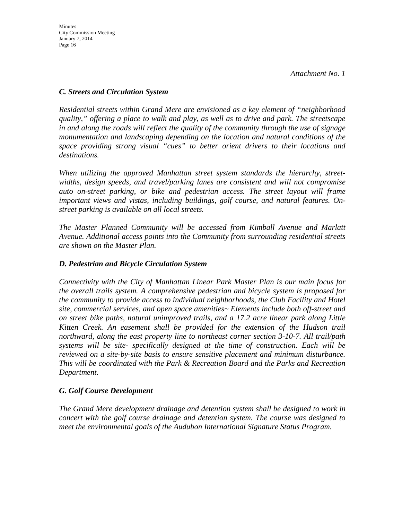## *C. Streets and Circulation System*

*Residential streets within Grand Mere are envisioned as a key element of "neighborhood quality," offering a place to walk and play, as well as to drive and park. The streetscape in and along the roads will reflect the quality of the community through the use of signage monumentation and landscaping depending on the location and natural conditions of the space providing strong visual "cues" to better orient drivers to their locations and destinations.*

*When utilizing the approved Manhattan street system standards the hierarchy, streetwidths, design speeds, and travel/parking lanes are consistent and will not compromise*  auto on-street parking, or bike and pedestrian access. The street layout will frame *important views and vistas, including buildings, golf course, and natural features. Onstreet parking is available on all local streets.*

*The Master Planned Community will be accessed from Kimball Avenue and Marlatt Avenue. Additional access points into the Community from surrounding residential streets are shown on the Master Plan.*

## *D. Pedestrian and Bicycle Circulation System*

*Connectivity with the City of Manhattan Linear Park Master Plan is our main focus for the overall trails system. A comprehensive pedestrian and bicycle system is proposed for the community to provide access to individual neighborhoods, the Club Facility and Hotel site, commercial services, and open space amenities~ Elements include both off-street and on street bike paths, natural unimproved trails, and a 17.2 acre linear park along Little Kitten Creek. An easement shall be provided for the extension of the Hudson trail northward, along the east property line to northeast corner section 3-10-7. All trail/path systems will be site- specifically designed at the time of construction. Each will be reviewed on a site-by-site basis to ensure sensitive placement and minimum disturbance. This will be coordinated with the Park & Recreation Board and the Parks and Recreation Department.*

## *G. Golf Course Development*

*The Grand Mere development drainage and detention system shall be designed to work in concert with the golf course drainage and detention system. The course was designed to meet the environmental goals of the Audubon International Signature Status Program.*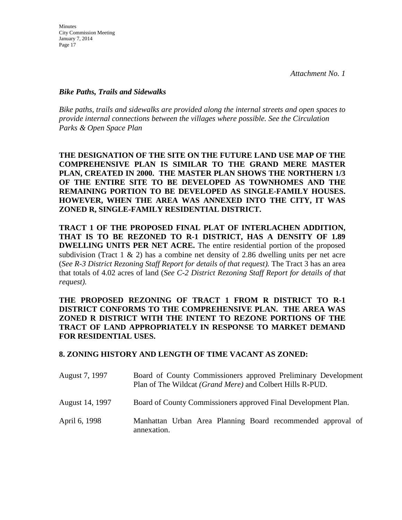## *Bike Paths, Trails and Sidewalks*

*Bike paths, trails and sidewalks are provided along the internal streets and open spaces to provide internal connections between the villages where possible. See the Circulation Parks & Open Space Plan*

**THE DESIGNATION OF THE SITE ON THE FUTURE LAND USE MAP OF THE COMPREHENSIVE PLAN IS SIMILAR TO THE GRAND MERE MASTER PLAN, CREATED IN 2000. THE MASTER PLAN SHOWS THE NORTHERN 1/3 OF THE ENTIRE SITE TO BE DEVELOPED AS TOWNHOMES AND THE REMAINING PORTION TO BE DEVELOPED AS SINGLE-FAMILY HOUSES. HOWEVER, WHEN THE AREA WAS ANNEXED INTO THE CITY, IT WAS ZONED R, SINGLE-FAMILY RESIDENTIAL DISTRICT.** 

**TRACT 1 OF THE PROPOSED FINAL PLAT OF INTERLACHEN ADDITION, THAT IS TO BE REZONED TO R-1 DISTRICT, HAS A DENSITY OF 1.89 DWELLING UNITS PER NET ACRE.** The entire residential portion of the proposed subdivision (Tract 1 & 2) has a combine net density of 2.86 dwelling units per net acre (*See R-3 District Rezoning Staff Report for details of that request).* The Tract 3 has an area that totals of 4.02 acres of land (*See C-2 District Rezoning Staff Report for details of that request).* 

**THE PROPOSED REZONING OF TRACT 1 FROM R DISTRICT TO R-1 DISTRICT CONFORMS TO THE COMPREHENSIVE PLAN. THE AREA WAS ZONED R DISTRICT WITH THE INTENT TO REZONE PORTIONS OF THE TRACT OF LAND APPROPRIATELY IN RESPONSE TO MARKET DEMAND FOR RESIDENTIAL USES.**

## **8. ZONING HISTORY AND LENGTH OF TIME VACANT AS ZONED:**

| August 7, 1997  | Board of County Commissioners approved Preliminary Development<br>Plan of The Wildcat (Grand Mere) and Colbert Hills R-PUD. |  |  |
|-----------------|-----------------------------------------------------------------------------------------------------------------------------|--|--|
| August 14, 1997 | Board of County Commissioners approved Final Development Plan.                                                              |  |  |
| April 6, 1998   | Manhattan Urban Area Planning Board recommended approval of<br>annexation.                                                  |  |  |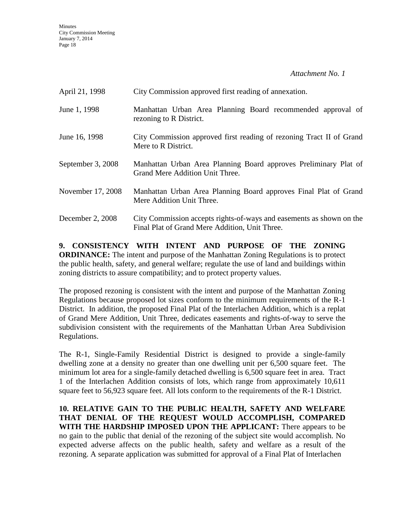**Minutes** City Commission Meeting January 7, 2014 Page 18

*Attachment No. 1*

| April 21, 1998    | City Commission approved first reading of annexation.                                                                  |
|-------------------|------------------------------------------------------------------------------------------------------------------------|
| June 1, 1998      | Manhattan Urban Area Planning Board recommended approval of<br>rezoning to R District.                                 |
| June 16, 1998     | City Commission approved first reading of rezoning Tract II of Grand<br>Mere to R District.                            |
| September 3, 2008 | Manhattan Urban Area Planning Board approves Preliminary Plat of<br>Grand Mere Addition Unit Three.                    |
| November 17, 2008 | Manhattan Urban Area Planning Board approves Final Plat of Grand<br>Mere Addition Unit Three.                          |
| December 2, 2008  | City Commission accepts rights-of-ways and easements as shown on the<br>Final Plat of Grand Mere Addition, Unit Three. |

**9. CONSISTENCY WITH INTENT AND PURPOSE OF THE ZONING ORDINANCE:** The intent and purpose of the Manhattan Zoning Regulations is to protect the public health, safety, and general welfare; regulate the use of land and buildings within zoning districts to assure compatibility; and to protect property values.

The proposed rezoning is consistent with the intent and purpose of the Manhattan Zoning Regulations because proposed lot sizes conform to the minimum requirements of the R-1 District. In addition, the proposed Final Plat of the Interlachen Addition, which is a replat of Grand Mere Addition, Unit Three, dedicates easements and rights-of-way to serve the subdivision consistent with the requirements of the Manhattan Urban Area Subdivision Regulations.

The R-1, Single-Family Residential District is designed to provide a single-family dwelling zone at a density no greater than one dwelling unit per 6,500 square feet. The minimum lot area for a single-family detached dwelling is 6,500 square feet in area. Tract 1 of the Interlachen Addition consists of lots, which range from approximately 10,611 square feet to 56,923 square feet. All lots conform to the requirements of the R-1 District.

**10. RELATIVE GAIN TO THE PUBLIC HEALTH, SAFETY AND WELFARE THAT DENIAL OF THE REQUEST WOULD ACCOMPLISH, COMPARED WITH THE HARDSHIP IMPOSED UPON THE APPLICANT:** There appears to be no gain to the public that denial of the rezoning of the subject site would accomplish. No expected adverse affects on the public health, safety and welfare as a result of the rezoning. A separate application was submitted for approval of a Final Plat of Interlachen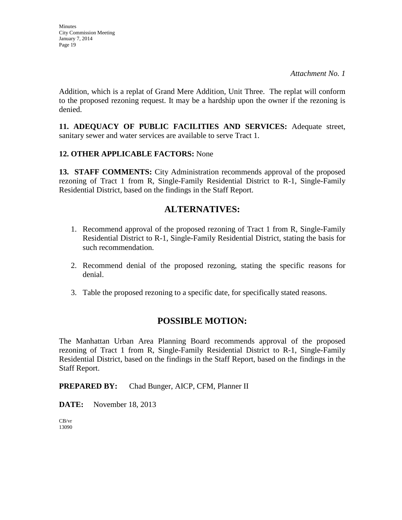**Minutes** City Commission Meeting January 7, 2014 Page 19

Addition, which is a replat of Grand Mere Addition, Unit Three. The replat will conform to the proposed rezoning request. It may be a hardship upon the owner if the rezoning is denied.

**11. ADEQUACY OF PUBLIC FACILITIES AND SERVICES:** Adequate street, sanitary sewer and water services are available to serve Tract 1.

## **12. OTHER APPLICABLE FACTORS:** None

**13. STAFF COMMENTS:** City Administration recommends approval of the proposed rezoning of Tract 1 from R, Single-Family Residential District to R-1, Single-Family Residential District, based on the findings in the Staff Report.

## **ALTERNATIVES:**

- 1. Recommend approval of the proposed rezoning of Tract 1 from R, Single-Family Residential District to R-1, Single-Family Residential District, stating the basis for such recommendation.
- 2. Recommend denial of the proposed rezoning, stating the specific reasons for denial.
- 3. Table the proposed rezoning to a specific date, for specifically stated reasons.

## **POSSIBLE MOTION:**

The Manhattan Urban Area Planning Board recommends approval of the proposed rezoning of Tract 1 from R, Single-Family Residential District to R-1, Single-Family Residential District, based on the findings in the Staff Report, based on the findings in the Staff Report.

## **PREPARED BY:** Chad Bunger, AICP, CFM, Planner II

**DATE:** November 18, 2013

CB/vr 13090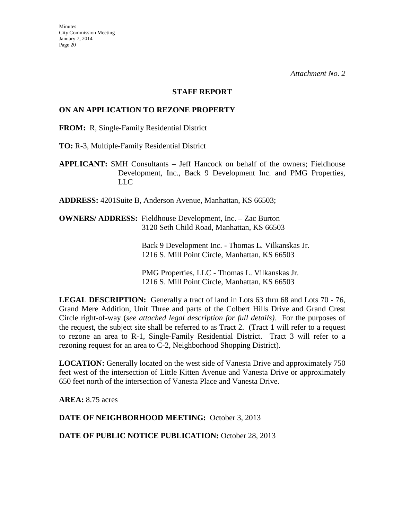#### **STAFF REPORT**

## **ON AN APPLICATION TO REZONE PROPERTY**

**FROM:** R, Single-Family Residential District

**TO:** R-3, Multiple-Family Residential District

**APPLICANT:** SMH Consultants – Jeff Hancock on behalf of the owners; Fieldhouse Development, Inc., Back 9 Development Inc. and PMG Properties, LLC

**ADDRESS:** 4201Suite B, Anderson Avenue, Manhattan, KS 66503;

**OWNERS/ ADDRESS:** Fieldhouse Development, Inc. – Zac Burton 3120 Seth Child Road, Manhattan, KS 66503

> Back 9 Development Inc. - Thomas L. Vilkanskas Jr. 1216 S. Mill Point Circle, Manhattan, KS 66503

PMG Properties, LLC - Thomas L. Vilkanskas Jr. 1216 S. Mill Point Circle, Manhattan, KS 66503

**LEGAL DESCRIPTION:** Generally a tract of land in Lots 63 thru 68 and Lots 70 - 76, Grand Mere Addition, Unit Three and parts of the Colbert Hills Drive and Grand Crest Circle right-of-way (*see attached legal description for full details).* For the purposes of the request, the subject site shall be referred to as Tract 2. (Tract 1 will refer to a request to rezone an area to R-1, Single-Family Residential District. Tract 3 will refer to a rezoning request for an area to C-2, Neighborhood Shopping District).

**LOCATION:** Generally located on the west side of Vanesta Drive and approximately 750 feet west of the intersection of Little Kitten Avenue and Vanesta Drive or approximately 650 feet north of the intersection of Vanesta Place and Vanesta Drive.

**AREA:** 8.75 acres

**DATE OF NEIGHBORHOOD MEETING:** October 3, 2013

DATE OF PUBLIC NOTICE PUBLICATION: October 28, 2013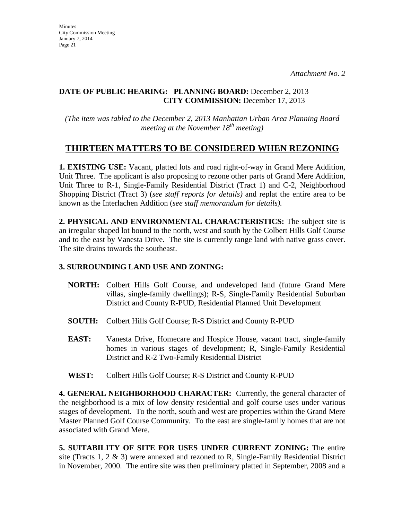## **DATE OF PUBLIC HEARING: PLANNING BOARD:** December 2, 2013 **CITY COMMISSION:** December 17, 2013

*(The item was tabled to the December 2, 2013 Manhattan Urban Area Planning Board meeting at the November 18th meeting)*

# **THIRTEEN MATTERS TO BE CONSIDERED WHEN REZONING**

**1. EXISTING USE:** Vacant, platted lots and road right-of-way in Grand Mere Addition, Unit Three. The applicant is also proposing to rezone other parts of Grand Mere Addition, Unit Three to R-1, Single-Family Residential District (Tract 1) and C-2, Neighborhood Shopping District (Tract 3) (*see staff reports for details)* and replat the entire area to be known as the Interlachen Addition (*see staff memorandum for details).*

**2. PHYSICAL AND ENVIRONMENTAL CHARACTERISTICS:** The subject site is an irregular shaped lot bound to the north, west and south by the Colbert Hills Golf Course and to the east by Vanesta Drive. The site is currently range land with native grass cover. The site drains towards the southeast.

## **3. SURROUNDING LAND USE AND ZONING:**

- **NORTH:** Colbert Hills Golf Course, and undeveloped land (future Grand Mere villas, single-family dwellings); R-S, Single-Family Residential Suburban District and County R-PUD, Residential Planned Unit Development
- **SOUTH:** Colbert Hills Golf Course; R-S District and County R-PUD
- **EAST:** Vanesta Drive, Homecare and Hospice House, vacant tract, single-family homes in various stages of development; R, Single-Family Residential District and R-2 Two-Family Residential District
- **WEST:** Colbert Hills Golf Course; R-S District and County R-PUD

**4. GENERAL NEIGHBORHOOD CHARACTER:** Currently, the general character of the neighborhood is a mix of low density residential and golf course uses under various stages of development. To the north, south and west are properties within the Grand Mere Master Planned Golf Course Community. To the east are single-family homes that are not associated with Grand Mere.

**5. SUITABILITY OF SITE FOR USES UNDER CURRENT ZONING:** The entire site (Tracts 1, 2  $\&$  3) were annexed and rezoned to R, Single-Family Residential District in November, 2000. The entire site was then preliminary platted in September, 2008 and a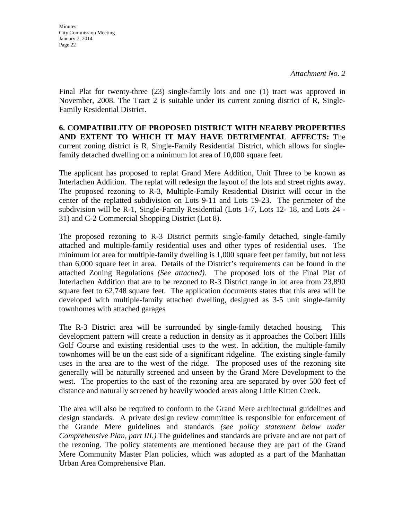**Minutes** City Commission Meeting January 7, 2014 Page 22

*Attachment No. 2*

Final Plat for twenty-three (23) single-family lots and one (1) tract was approved in November, 2008. The Tract 2 is suitable under its current zoning district of R, Single-Family Residential District.

**6. COMPATIBILITY OF PROPOSED DISTRICT WITH NEARBY PROPERTIES AND EXTENT TO WHICH IT MAY HAVE DETRIMENTAL AFFECTS:** The current zoning district is R, Single-Family Residential District, which allows for singlefamily detached dwelling on a minimum lot area of 10,000 square feet.

The applicant has proposed to replat Grand Mere Addition, Unit Three to be known as Interlachen Addition. The replat will redesign the layout of the lots and street rights away. The proposed rezoning to R-3, Multiple-Family Residential District will occur in the center of the replatted subdivision on Lots 9-11 and Lots 19-23. The perimeter of the subdivision will be R-1, Single-Family Residential (Lots 1-7, Lots 12- 18, and Lots 24 - 31) and C-2 Commercial Shopping District (Lot 8).

The proposed rezoning to R-3 District permits single-family detached, single-family attached and multiple-family residential uses and other types of residential uses. The minimum lot area for multiple-family dwelling is 1,000 square feet per family, but not less than 6,000 square feet in area. Details of the District's requirements can be found in the attached Zoning Regulations *(See attached)*.The proposed lots of the Final Plat of Interlachen Addition that are to be rezoned to R-3 District range in lot area from 23,890 square feet to 62,748 square feet. The application documents states that this area will be developed with multiple-family attached dwelling, designed as 3-5 unit single-family townhomes with attached garages

The R-3 District area will be surrounded by single-family detached housing. This development pattern will create a reduction in density as it approaches the Colbert Hills Golf Course and existing residential uses to the west. In addition, the multiple-family townhomes will be on the east side of a significant ridgeline. The existing single-family uses in the area are to the west of the ridge. The proposed uses of the rezoning site generally will be naturally screened and unseen by the Grand Mere Development to the west. The properties to the east of the rezoning area are separated by over 500 feet of distance and naturally screened by heavily wooded areas along Little Kitten Creek.

The area will also be required to conform to the Grand Mere architectural guidelines and design standards. A private design review committee is responsible for enforcement of the Grande Mere guidelines and standards *(see policy statement below under Comprehensive Plan, part III.)* The guidelines and standards are private and are not part of the rezoning. The policy statements are mentioned because they are part of the Grand Mere Community Master Plan policies, which was adopted as a part of the Manhattan Urban Area Comprehensive Plan.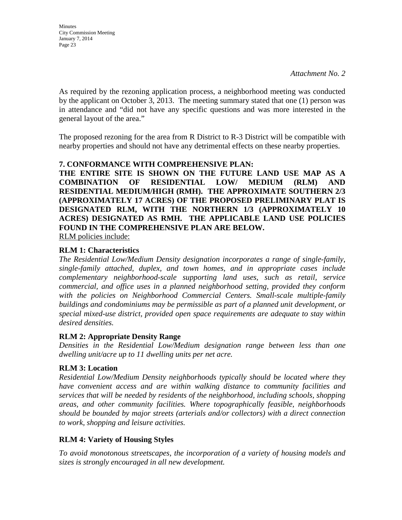**Minutes** City Commission Meeting January 7, 2014 Page 23

As required by the rezoning application process, a neighborhood meeting was conducted by the applicant on October 3, 2013. The meeting summary stated that one (1) person was in attendance and "did not have any specific questions and was more interested in the general layout of the area."

The proposed rezoning for the area from R District to R-3 District will be compatible with nearby properties and should not have any detrimental effects on these nearby properties.

## **7. CONFORMANCE WITH COMPREHENSIVE PLAN:**

**THE ENTIRE SITE IS SHOWN ON THE FUTURE LAND USE MAP AS A COMBINATION OF RESIDENTIAL LOW/ MEDIUM (RLM) AND RESIDENTIAL MEDIUM/HIGH (RMH). THE APPROXIMATE SOUTHERN 2/3 (APPROXIMATELY 17 ACRES) OF THE PROPOSED PRELIMINARY PLAT IS DESIGNATED RLM, WITH THE NORTHERN 1/3 (APPROXIMATELY 10 ACRES) DESIGNATED AS RMH. THE APPLICABLE LAND USE POLICIES FOUND IN THE COMPREHENSIVE PLAN ARE BELOW.**

RLM policies include:

## **RLM 1: Characteristics**

*The Residential Low/Medium Density designation incorporates a range of single-family, single-family attached, duplex, and town homes, and in appropriate cases include complementary neighborhood-scale supporting land uses, such as retail, service commercial, and office uses in a planned neighborhood setting, provided they conform*  with the policies on Neighborhood Commercial Centers. Small-scale multiple-family *buildings and condominiums may be permissible as part of a planned unit development, or special mixed-use district, provided open space requirements are adequate to stay within desired densities.* 

### **RLM 2: Appropriate Density Range**

*Densities in the Residential Low/Medium designation range between less than one dwelling unit/acre up to 11 dwelling units per net acre.* 

### **RLM 3: Location**

*Residential Low/Medium Density neighborhoods typically should be located where they have convenient access and are within walking distance to community facilities and services that will be needed by residents of the neighborhood, including schools, shopping areas, and other community facilities. Where topographically feasible, neighborhoods should be bounded by major streets (arterials and/or collectors) with a direct connection to work, shopping and leisure activities.* 

## **RLM 4: Variety of Housing Styles**

*To avoid monotonous streetscapes, the incorporation of a variety of housing models and sizes is strongly encouraged in all new development.*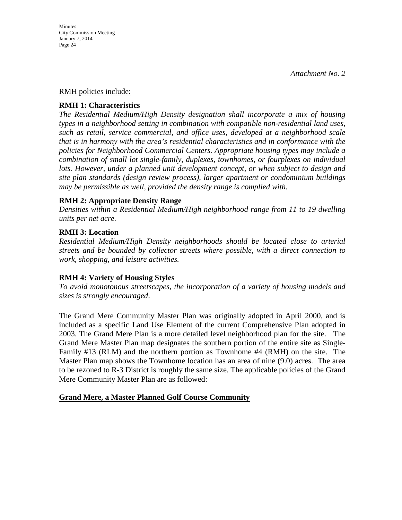### RMH policies include:

## **RMH 1: Characteristics**

*The Residential Medium/High Density designation shall incorporate a mix of housing types in a neighborhood setting in combination with compatible non-residential land uses, such as retail, service commercial, and office uses, developed at a neighborhood scale that is in harmony with the area's residential characteristics and in conformance with the policies for Neighborhood Commercial Centers. Appropriate housing types may include a combination of small lot single-family, duplexes, townhomes, or fourplexes on individual*  lots. However, under a planned unit development concept, or when subject to design and *site plan standards (design review process), larger apartment or condominium buildings may be permissible as well, provided the density range is complied with.*

## **RMH 2: Appropriate Density Range**

*Densities within a Residential Medium/High neighborhood range from 11 to 19 dwelling units per net acre.* 

## **RMH 3: Location**

*Residential Medium/High Density neighborhoods should be located close to arterial streets and be bounded by collector streets where possible, with a direct connection to work, shopping, and leisure activities.* 

### **RMH 4: Variety of Housing Styles**

*To avoid monotonous streetscapes, the incorporation of a variety of housing models and sizes is strongly encouraged*.

The Grand Mere Community Master Plan was originally adopted in April 2000, and is included as a specific Land Use Element of the current Comprehensive Plan adopted in 2003. The Grand Mere Plan is a more detailed level neighborhood plan for the site. The Grand Mere Master Plan map designates the southern portion of the entire site as Single-Family #13 (RLM) and the northern portion as Townhome #4 (RMH) on the site. The Master Plan map shows the Townhome location has an area of nine (9.0) acres. The area to be rezoned to R-3 District is roughly the same size. The applicable policies of the Grand Mere Community Master Plan are as followed:

## **Grand Mere, a Master Planned Golf Course Community**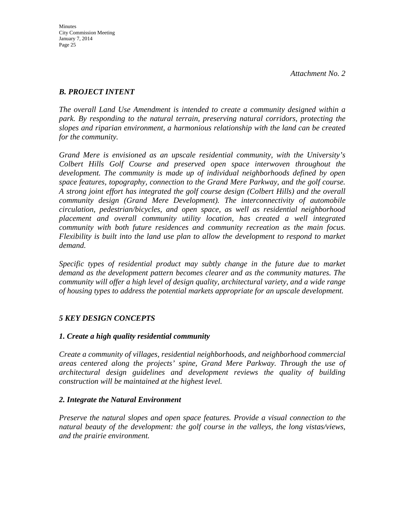## *B. PROJECT INTENT*

*The overall Land Use Amendment is intended to create a community designed within a park. By responding to the natural terrain, preserving natural corridors, protecting the slopes and riparian environment, a harmonious relationship with the land can be created for the community.*

*Grand Mere is envisioned as an upscale residential community, with the University's Colbert Hills Golf Course and preserved open space interwoven throughout the development. The community is made up of individual neighborhoods defined by open space features, topography, connection to the Grand Mere Parkway, and the golf course. A strong joint effort has integrated the golf course design (Colbert Hills) and the overall community design (Grand Mere Development). The interconnectivity of automobile circulation, pedestrian/bicycles, and open space, as well as residential neighborhood placement and overall community utility location, has created a well integrated community with both future residences and community recreation as the main focus. Flexibility is built into the land use plan to allow the development to respond to market demand.*

*Specific types of residential product may subtly change in the future due to market demand as the development pattern becomes clearer and as the community matures. The community will offer a high level of design quality, architectural variety, and a wide range of housing types to address the potential markets appropriate for an upscale development.*

## *5 KEY DESIGN CONCEPTS*

## *1. Create a high quality residential community*

*Create a community of villages, residential neighborhoods, and neighborhood commercial areas centered along the projects' spine, Grand Mere Parkway. Through the use of architectural design guidelines and development reviews the quality of building construction will be maintained at the highest level.*

## *2. Integrate the Natural Environment*

*Preserve the natural slopes and open space features. Provide a visual connection to the natural beauty of the development: the golf course in the valleys, the long vistas/views, and the prairie environment.*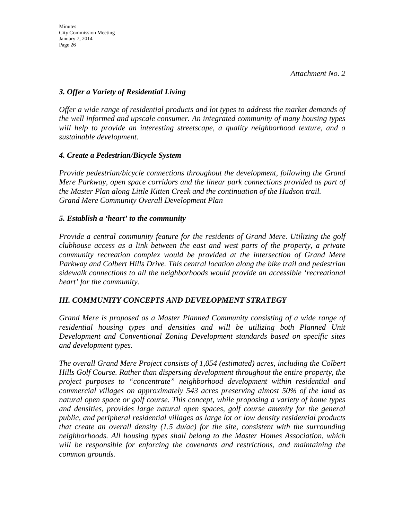## *3. Offer a Variety of Residential Living*

*Offer a wide range of residential products and lot types to address the market demands of the well informed and upscale consumer. An integrated community of many housing types will help to provide an interesting streetscape, a quality neighborhood texture, and a sustainable development.*

## *4. Create a Pedestrian/Bicycle System*

*Provide pedestrian/bicycle connections throughout the development, following the Grand Mere Parkway, open space corridors and the linear park connections provided as part of the Master Plan along Little Kitten Creek and the continuation of the Hudson trail. Grand Mere Community Overall Development Plan* 

## *5. Establish a 'heart' to the community*

*Provide a central community feature for the residents of Grand Mere. Utilizing the golf clubhouse access as a link between the east and west parts of the property, a private community recreation complex would be provided at the intersection of Grand Mere Parkway and Colbert Hills Drive. This central location along the bike trail and pedestrian sidewalk connections to all the neighborhoods would provide an accessible 'recreational heart' for the community.*

## *III. COMMUNITY CONCEPTS AND DEVELOPMENT STRATEGY*

*Grand Mere is proposed as a Master Planned Community consisting of a wide range of residential housing types and densities and will be utilizing both Planned Unit Development and Conventional Zoning Development standards based on specific sites and development types.*

*The overall Grand Mere Project consists of 1,054 (estimated) acres, including the Colbert Hills Golf Course. Rather than dispersing development throughout the entire property, the project purposes to "concentrate" neighborhood development within residential and commercial villages on approximately 543 acres preserving almost 50% of the land as natural open space or golf course. This concept, while proposing a variety of home types and densities, provides large natural open spaces, golf course amenity for the general public, and peripheral residential villages as large lot or low density residential products that create an overall density (1.5 du/ac) for the site, consistent with the surrounding neighborhoods. All housing types shall belong to the Master Homes Association, which will be responsible for enforcing the covenants and restrictions, and maintaining the common grounds.*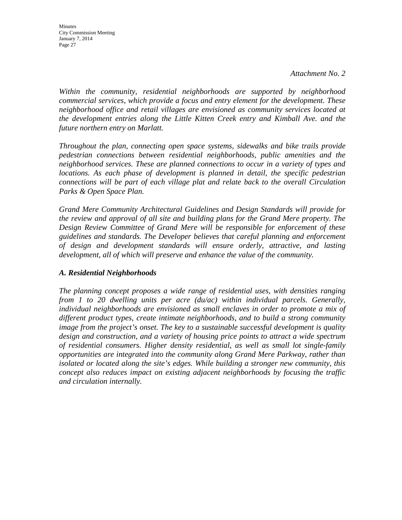**Minutes** City Commission Meeting January 7, 2014 Page 27

*Within the community, residential neighborhoods are supported by neighborhood commercial services, which provide a focus and entry element for the development. These neighborhood office and retail villages are envisioned as community services located at the development entries along the Little Kitten Creek entry and Kimball Ave. and the future northern entry on Marlatt.*

*Throughout the plan, connecting open space systems, sidewalks and bike trails provide pedestrian connections between residential neighborhoods, public amenities and the neighborhood services. These are planned connections to occur in a variety of types and locations. As each phase of development is planned in detail, the specific pedestrian connections will be part of each village plat and relate back to the overall Circulation Parks & Open Space Plan.*

*Grand Mere Community Architectural Guidelines and Design Standards will provide for the review and approval of all site and building plans for the Grand Mere property. The Design Review Committee of Grand Mere will be responsible for enforcement of these guidelines and standards. The Developer believes that careful planning and enforcement of design and development standards will ensure orderly, attractive, and lasting development, all of which will preserve and enhance the value of the community.*

## *A. Residential Neighborhoods*

*The planning concept proposes a wide range of residential uses, with densities ranging from 1 to 20 dwelling units per acre (du/ac) within individual parcels. Generally, individual neighborhoods are envisioned as small enclaves in order to promote a mix of different product types, create intimate neighborhoods, and to build a strong community image from the project's onset. The key to a sustainable successful development is quality design and construction, and a variety of housing price points to attract a wide spectrum of residential consumers. Higher density residential, as well as small lot single-family opportunities are integrated into the community along Grand Mere Parkway, rather than isolated or located along the site's edges. While building a stronger new community, this concept also reduces impact on existing adjacent neighborhoods by focusing the traffic and circulation internally.*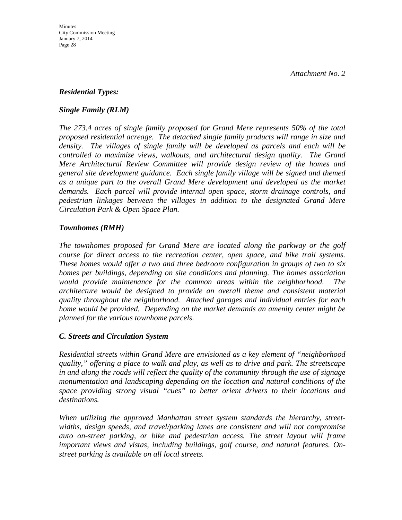## *Residential Types:*

## *Single Family (RLM)*

*The 273.4 acres of single family proposed for Grand Mere represents 50% of the total proposed residential acreage. The detached single family products will range in size and density. The villages of single family will be developed as parcels and each will be controlled to maximize views, walkouts, and architectural design quality. The Grand Mere Architectural Review Committee will provide design review of the homes and general site development guidance. Each single family village will be signed and themed as a unique part to the overall Grand Mere development and developed as the market demands. Each parcel will provide internal open space, storm drainage controls, and pedestrian linkages between the villages in addition to the designated Grand Mere Circulation Park & Open Space Plan.*

## *Townhomes (RMH)*

*The townhomes proposed for Grand Mere are located along the parkway or the golf course for direct access to the recreation center, open space, and bike trail systems. These homes would offer a two and three bedroom configuration in groups of two to six homes per buildings, depending on site conditions and planning. The homes association would provide maintenance for the common areas within the neighborhood. The architecture would be designed to provide an overall theme and consistent material quality throughout the neighborhood. Attached garages and individual entries for each home would be provided. Depending on the market demands an amenity center might be planned for the various townhome parcels.* 

## *C. Streets and Circulation System*

*Residential streets within Grand Mere are envisioned as a key element of "neighborhood quality," offering a place to walk and play, as well as to drive and park. The streetscape in and along the roads will reflect the quality of the community through the use of signage monumentation and landscaping depending on the location and natural conditions of the space providing strong visual "cues" to better orient drivers to their locations and destinations.*

*When utilizing the approved Manhattan street system standards the hierarchy, streetwidths, design speeds, and travel/parking lanes are consistent and will not compromise auto on-street parking, or bike and pedestrian access. The street layout will frame important views and vistas, including buildings, golf course, and natural features. Onstreet parking is available on all local streets.*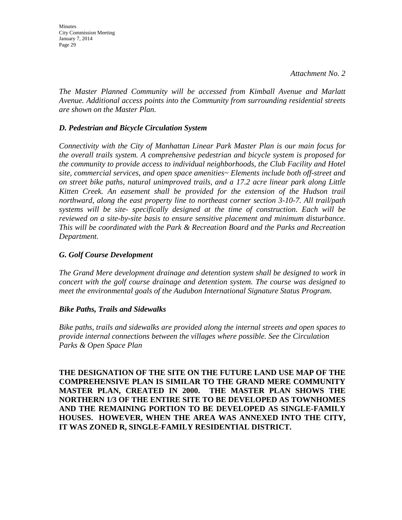Minutes City Commission Meeting January 7, 2014 Page 29

*The Master Planned Community will be accessed from Kimball Avenue and Marlatt Avenue. Additional access points into the Community from surrounding residential streets are shown on the Master Plan.*

## *D. Pedestrian and Bicycle Circulation System*

*Connectivity with the City of Manhattan Linear Park Master Plan is our main focus for the overall trails system. A comprehensive pedestrian and bicycle system is proposed for the community to provide access to individual neighborhoods, the Club Facility and Hotel site, commercial services, and open space amenities~ Elements include both off-street and on street bike paths, natural unimproved trails, and a 17.2 acre linear park along Little Kitten Creek. An easement shall be provided for the extension of the Hudson trail northward, along the east property line to northeast corner section 3-10-7. All trail/path systems will be site- specifically designed at the time of construction. Each will be reviewed on a site-by-site basis to ensure sensitive placement and minimum disturbance. This will be coordinated with the Park & Recreation Board and the Parks and Recreation Department.*

### *G. Golf Course Development*

*The Grand Mere development drainage and detention system shall be designed to work in concert with the golf course drainage and detention system. The course was designed to meet the environmental goals of the Audubon International Signature Status Program.*

### *Bike Paths, Trails and Sidewalks*

*Bike paths, trails and sidewalks are provided along the internal streets and open spaces to provide internal connections between the villages where possible. See the Circulation Parks & Open Space Plan*

**THE DESIGNATION OF THE SITE ON THE FUTURE LAND USE MAP OF THE COMPREHENSIVE PLAN IS SIMILAR TO THE GRAND MERE COMMUNITY MASTER PLAN, CREATED IN 2000. THE MASTER PLAN SHOWS THE NORTHERN 1/3 OF THE ENTIRE SITE TO BE DEVELOPED AS TOWNHOMES AND THE REMAINING PORTION TO BE DEVELOPED AS SINGLE-FAMILY HOUSES. HOWEVER, WHEN THE AREA WAS ANNEXED INTO THE CITY, IT WAS ZONED R, SINGLE-FAMILY RESIDENTIAL DISTRICT.**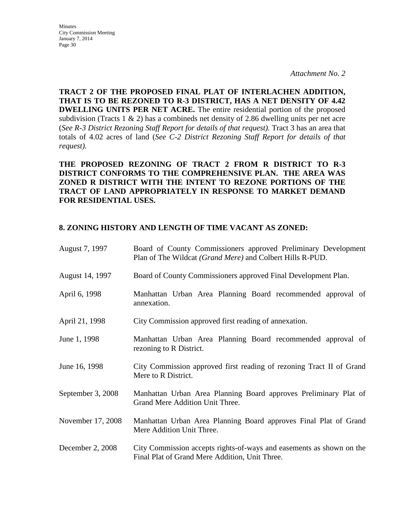**Minutes** City Commission Meeting January 7, 2014 Page 30

*Attachment No. 2*

**TRACT 2 OF THE PROPOSED FINAL PLAT OF INTERLACHEN ADDITION, THAT IS TO BE REZONED TO R-3 DISTRICT, HAS A NET DENSITY OF 4.42 DWELLING UNITS PER NET ACRE.** The entire residential portion of the proposed subdivision (Tracts 1  $\&$  2) has a combineds net density of 2.86 dwelling units per net acre (*See R-3 District Rezoning Staff Report for details of that request).* Tract 3 has an area that totals of 4.02 acres of land (*See C-2 District Rezoning Staff Report for details of that request).* 

**THE PROPOSED REZONING OF TRACT 2 FROM R DISTRICT TO R-3 DISTRICT CONFORMS TO THE COMPREHENSIVE PLAN. THE AREA WAS ZONED R DISTRICT WITH THE INTENT TO REZONE PORTIONS OF THE TRACT OF LAND APPROPRIATELY IN RESPONSE TO MARKET DEMAND FOR RESIDENTIAL USES.**

## **8. ZONING HISTORY AND LENGTH OF TIME VACANT AS ZONED:**

| August 7, 1997    | Board of County Commissioners approved Preliminary Development<br>Plan of The Wildcat (Grand Mere) and Colbert Hills R-PUD. |  |  |
|-------------------|-----------------------------------------------------------------------------------------------------------------------------|--|--|
| August 14, 1997   | Board of County Commissioners approved Final Development Plan.                                                              |  |  |
| April 6, 1998     | Manhattan Urban Area Planning Board recommended approval of<br>annexation.                                                  |  |  |
| April 21, 1998    | City Commission approved first reading of annexation.                                                                       |  |  |
| June 1, 1998      | Manhattan Urban Area Planning Board recommended approval of<br>rezoning to R District.                                      |  |  |
| June 16, 1998     | City Commission approved first reading of rezoning Tract II of Grand<br>Mere to R District.                                 |  |  |
| September 3, 2008 | Manhattan Urban Area Planning Board approves Preliminary Plat of<br>Grand Mere Addition Unit Three.                         |  |  |
| November 17, 2008 | Manhattan Urban Area Planning Board approves Final Plat of Grand<br>Mere Addition Unit Three.                               |  |  |
| December 2, 2008  | City Commission accepts rights-of-ways and easements as shown on the<br>Final Plat of Grand Mere Addition, Unit Three.      |  |  |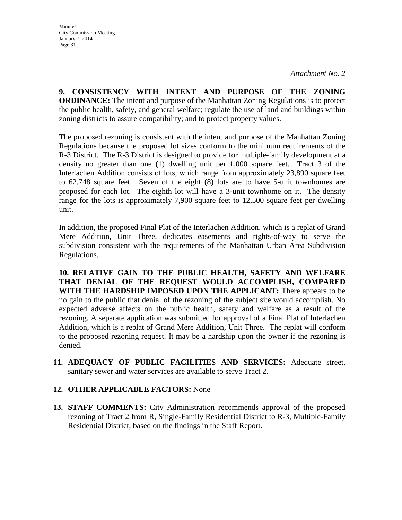**9. CONSISTENCY WITH INTENT AND PURPOSE OF THE ZONING ORDINANCE:** The intent and purpose of the Manhattan Zoning Regulations is to protect the public health, safety, and general welfare; regulate the use of land and buildings within zoning districts to assure compatibility; and to protect property values.

The proposed rezoning is consistent with the intent and purpose of the Manhattan Zoning Regulations because the proposed lot sizes conform to the minimum requirements of the R-3 District. The R-3 District is designed to provide for multiple-family development at a density no greater than one (1) dwelling unit per 1,000 square feet. Tract 3 of the Interlachen Addition consists of lots, which range from approximately 23,890 square feet to 62,748 square feet. Seven of the eight (8) lots are to have 5-unit townhomes are proposed for each lot. The eighth lot will have a 3-unit townhome on it. The density range for the lots is approximately 7,900 square feet to 12,500 square feet per dwelling unit.

In addition, the proposed Final Plat of the Interlachen Addition, which is a replat of Grand Mere Addition, Unit Three, dedicates easements and rights-of-way to serve the subdivision consistent with the requirements of the Manhattan Urban Area Subdivision Regulations.

**10. RELATIVE GAIN TO THE PUBLIC HEALTH, SAFETY AND WELFARE THAT DENIAL OF THE REQUEST WOULD ACCOMPLISH, COMPARED WITH THE HARDSHIP IMPOSED UPON THE APPLICANT:** There appears to be no gain to the public that denial of the rezoning of the subject site would accomplish. No expected adverse affects on the public health, safety and welfare as a result of the rezoning. A separate application was submitted for approval of a Final Plat of Interlachen Addition, which is a replat of Grand Mere Addition, Unit Three. The replat will conform to the proposed rezoning request. It may be a hardship upon the owner if the rezoning is denied.

**11. ADEQUACY OF PUBLIC FACILITIES AND SERVICES:** Adequate street, sanitary sewer and water services are available to serve Tract 2.

## **12. OTHER APPLICABLE FACTORS:** None

**13. STAFF COMMENTS:** City Administration recommends approval of the proposed rezoning of Tract 2 from R, Single-Family Residential District to R-3, Multiple-Family Residential District, based on the findings in the Staff Report.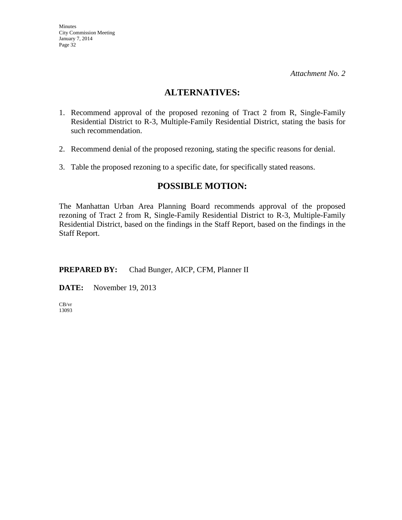## **ALTERNATIVES:**

- 1. Recommend approval of the proposed rezoning of Tract 2 from R, Single-Family Residential District to R-3, Multiple-Family Residential District, stating the basis for such recommendation.
- 2. Recommend denial of the proposed rezoning, stating the specific reasons for denial.
- 3. Table the proposed rezoning to a specific date, for specifically stated reasons.

## **POSSIBLE MOTION:**

The Manhattan Urban Area Planning Board recommends approval of the proposed rezoning of Tract 2 from R, Single-Family Residential District to R-3, Multiple-Family Residential District, based on the findings in the Staff Report, based on the findings in the Staff Report.

## **PREPARED BY:** Chad Bunger, AICP, CFM, Planner II

**DATE:** November 19, 2013

CB/vr 13093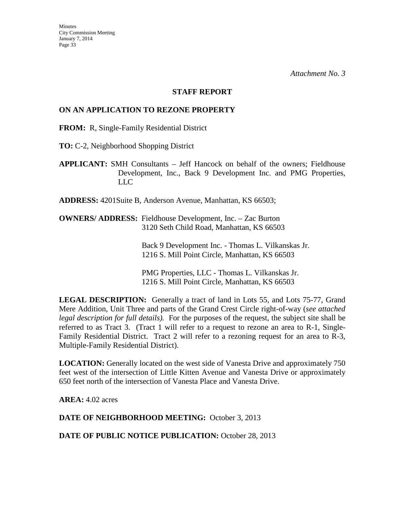#### **STAFF REPORT**

## **ON AN APPLICATION TO REZONE PROPERTY**

**FROM:** R, Single-Family Residential District

**TO:** C-2, Neighborhood Shopping District

**APPLICANT:** SMH Consultants – Jeff Hancock on behalf of the owners; Fieldhouse Development, Inc., Back 9 Development Inc. and PMG Properties, LLC

**ADDRESS:** 4201Suite B, Anderson Avenue, Manhattan, KS 66503;

**OWNERS/ ADDRESS:** Fieldhouse Development, Inc. – Zac Burton 3120 Seth Child Road, Manhattan, KS 66503

> Back 9 Development Inc. - Thomas L. Vilkanskas Jr. 1216 S. Mill Point Circle, Manhattan, KS 66503

PMG Properties, LLC - Thomas L. Vilkanskas Jr. 1216 S. Mill Point Circle, Manhattan, KS 66503

**LEGAL DESCRIPTION:** Generally a tract of land in Lots 55, and Lots 75-77, Grand Mere Addition, Unit Three and parts of the Grand Crest Circle right-of-way (*see attached legal description for full details).* For the purposes of the request, the subject site shall be referred to as Tract 3. (Tract 1 will refer to a request to rezone an area to R-1, Single-Family Residential District. Tract 2 will refer to a rezoning request for an area to R-3, Multiple-Family Residential District).

**LOCATION:** Generally located on the west side of Vanesta Drive and approximately 750 feet west of the intersection of Little Kitten Avenue and Vanesta Drive or approximately 650 feet north of the intersection of Vanesta Place and Vanesta Drive.

**AREA:** 4.02 acres

**DATE OF NEIGHBORHOOD MEETING:** October 3, 2013

DATE OF PUBLIC NOTICE PUBLICATION: October 28, 2013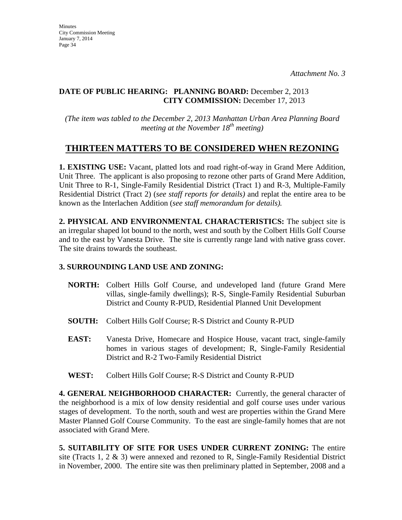## **DATE OF PUBLIC HEARING: PLANNING BOARD:** December 2, 2013 **CITY COMMISSION:** December 17, 2013

*(The item was tabled to the December 2, 2013 Manhattan Urban Area Planning Board meeting at the November 18th meeting)*

# **THIRTEEN MATTERS TO BE CONSIDERED WHEN REZONING**

**1. EXISTING USE:** Vacant, platted lots and road right-of-way in Grand Mere Addition, Unit Three. The applicant is also proposing to rezone other parts of Grand Mere Addition, Unit Three to R-1, Single-Family Residential District (Tract 1) and R-3, Multiple-Family Residential District (Tract 2) (*see staff reports for details)* and replat the entire area to be known as the Interlachen Addition (*see staff memorandum for details).*

**2. PHYSICAL AND ENVIRONMENTAL CHARACTERISTICS:** The subject site is an irregular shaped lot bound to the north, west and south by the Colbert Hills Golf Course and to the east by Vanesta Drive. The site is currently range land with native grass cover. The site drains towards the southeast.

## **3. SURROUNDING LAND USE AND ZONING:**

- **NORTH:** Colbert Hills Golf Course, and undeveloped land (future Grand Mere villas, single-family dwellings); R-S, Single-Family Residential Suburban District and County R-PUD, Residential Planned Unit Development
- **SOUTH:** Colbert Hills Golf Course; R-S District and County R-PUD
- **EAST:** Vanesta Drive, Homecare and Hospice House, vacant tract, single-family homes in various stages of development; R, Single-Family Residential District and R-2 Two-Family Residential District
- **WEST:** Colbert Hills Golf Course; R-S District and County R-PUD

**4. GENERAL NEIGHBORHOOD CHARACTER:** Currently, the general character of the neighborhood is a mix of low density residential and golf course uses under various stages of development. To the north, south and west are properties within the Grand Mere Master Planned Golf Course Community. To the east are single-family homes that are not associated with Grand Mere.

**5. SUITABILITY OF SITE FOR USES UNDER CURRENT ZONING:** The entire site (Tracts 1, 2  $\&$  3) were annexed and rezoned to R, Single-Family Residential District in November, 2000. The entire site was then preliminary platted in September, 2008 and a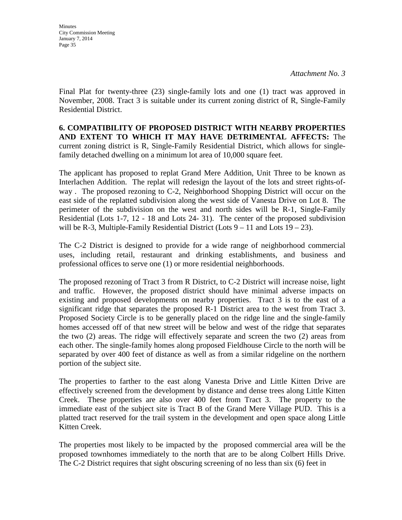**Minutes** City Commission Meeting January 7, 2014 Page 35

Final Plat for twenty-three (23) single-family lots and one (1) tract was approved in November, 2008. Tract 3 is suitable under its current zoning district of R, Single-Family Residential District.

**6. COMPATIBILITY OF PROPOSED DISTRICT WITH NEARBY PROPERTIES AND EXTENT TO WHICH IT MAY HAVE DETRIMENTAL AFFECTS:** The current zoning district is R, Single-Family Residential District, which allows for singlefamily detached dwelling on a minimum lot area of 10,000 square feet.

The applicant has proposed to replat Grand Mere Addition, Unit Three to be known as Interlachen Addition. The replat will redesign the layout of the lots and street rights-ofway . The proposed rezoning to C-2, Neighborhood Shopping District will occur on the east side of the replatted subdivision along the west side of Vanesta Drive on Lot 8. The perimeter of the subdivision on the west and north sides will be R-1, Single-Family Residential (Lots 1-7, 12 - 18 and Lots 24- 31). The center of the proposed subdivision will be R-3, Multiple-Family Residential District (Lots  $9 - 11$  and Lots  $19 - 23$ ).

The C-2 District is designed to provide for a wide range of neighborhood commercial uses, including retail, restaurant and drinking establishments, and business and professional offices to serve one (1) or more residential neighborhoods.

The proposed rezoning of Tract 3 from R District, to C-2 District will increase noise, light and traffic. However, the proposed district should have minimal adverse impacts on existing and proposed developments on nearby properties. Tract 3 is to the east of a significant ridge that separates the proposed R-1 District area to the west from Tract 3. Proposed Society Circle is to be generally placed on the ridge line and the single-family homes accessed off of that new street will be below and west of the ridge that separates the two (2) areas. The ridge will effectively separate and screen the two (2) areas from each other. The single-family homes along proposed Fieldhouse Circle to the north will be separated by over 400 feet of distance as well as from a similar ridgeline on the northern portion of the subject site.

The properties to farther to the east along Vanesta Drive and Little Kitten Drive are effectively screened from the development by distance and dense trees along Little Kitten Creek. These properties are also over 400 feet from Tract 3. The property to the immediate east of the subject site is Tract B of the Grand Mere Village PUD. This is a platted tract reserved for the trail system in the development and open space along Little Kitten Creek.

The properties most likely to be impacted by the proposed commercial area will be the proposed townhomes immediately to the north that are to be along Colbert Hills Drive. The C-2 District requires that sight obscuring screening of no less than six (6) feet in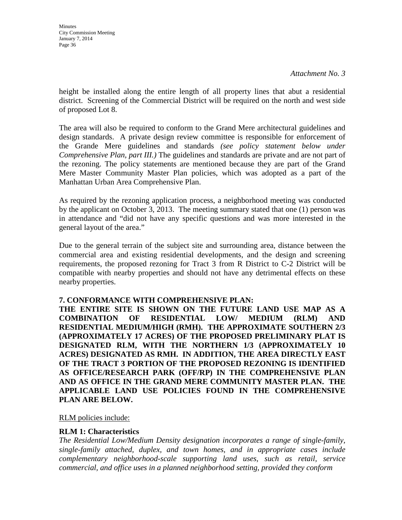**Minutes** City Commission Meeting January 7, 2014 Page 36

height be installed along the entire length of all property lines that abut a residential district. Screening of the Commercial District will be required on the north and west side of proposed Lot 8.

The area will also be required to conform to the Grand Mere architectural guidelines and design standards. A private design review committee is responsible for enforcement of the Grande Mere guidelines and standards *(see policy statement below under Comprehensive Plan, part III.)* The guidelines and standards are private and are not part of the rezoning. The policy statements are mentioned because they are part of the Grand Mere Master Community Master Plan policies, which was adopted as a part of the Manhattan Urban Area Comprehensive Plan.

As required by the rezoning application process, a neighborhood meeting was conducted by the applicant on October 3, 2013. The meeting summary stated that one (1) person was in attendance and "did not have any specific questions and was more interested in the general layout of the area."

Due to the general terrain of the subject site and surrounding area, distance between the commercial area and existing residential developments, and the design and screening requirements, the proposed rezoning for Tract 3 from R District to C-2 District will be compatible with nearby properties and should not have any detrimental effects on these nearby properties.

### **7. CONFORMANCE WITH COMPREHENSIVE PLAN:**

**THE ENTIRE SITE IS SHOWN ON THE FUTURE LAND USE MAP AS A COMBINATION OF RESIDENTIAL LOW/ MEDIUM (RLM) AND RESIDENTIAL MEDIUM/HIGH (RMH). THE APPROXIMATE SOUTHERN 2/3 (APPROXIMATELY 17 ACRES) OF THE PROPOSED PRELIMINARY PLAT IS DESIGNATED RLM, WITH THE NORTHERN 1/3 (APPROXIMATELY 10 ACRES) DESIGNATED AS RMH. IN ADDITION, THE AREA DIRECTLY EAST OF THE TRACT 3 PORTION OF THE PROPOSED REZONING IS IDENTIFIED AS OFFICE/RESEARCH PARK (OFF/RP) IN THE COMPREHENSIVE PLAN AND AS OFFICE IN THE GRAND MERE COMMUNITY MASTER PLAN. THE APPLICABLE LAND USE POLICIES FOUND IN THE COMPREHENSIVE PLAN ARE BELOW.**

### RLM policies include:

### **RLM 1: Characteristics**

*The Residential Low/Medium Density designation incorporates a range of single-family, single-family attached, duplex, and town homes, and in appropriate cases include complementary neighborhood-scale supporting land uses, such as retail, service commercial, and office uses in a planned neighborhood setting, provided they conform*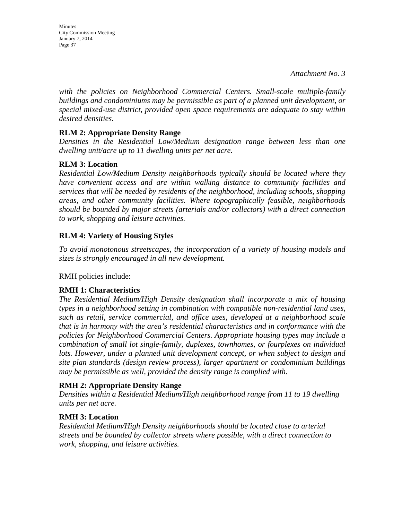Minutes City Commission Meeting January 7, 2014 Page 37

*with the policies on Neighborhood Commercial Centers. Small-scale multiple-family buildings and condominiums may be permissible as part of a planned unit development, or special mixed-use district, provided open space requirements are adequate to stay within desired densities.* 

## **RLM 2: Appropriate Density Range**

*Densities in the Residential Low/Medium designation range between less than one dwelling unit/acre up to 11 dwelling units per net acre.* 

## **RLM 3: Location**

*Residential Low/Medium Density neighborhoods typically should be located where they have convenient access and are within walking distance to community facilities and services that will be needed by residents of the neighborhood, including schools, shopping areas, and other community facilities. Where topographically feasible, neighborhoods should be bounded by major streets (arterials and/or collectors) with a direct connection to work, shopping and leisure activities.* 

## **RLM 4: Variety of Housing Styles**

*To avoid monotonous streetscapes, the incorporation of a variety of housing models and sizes is strongly encouraged in all new development.* 

## RMH policies include:

## **RMH 1: Characteristics**

*The Residential Medium/High Density designation shall incorporate a mix of housing types in a neighborhood setting in combination with compatible non-residential land uses, such as retail, service commercial, and office uses, developed at a neighborhood scale that is in harmony with the area's residential characteristics and in conformance with the policies for Neighborhood Commercial Centers. Appropriate housing types may include a combination of small lot single-family, duplexes, townhomes, or fourplexes on individual*  lots. However, under a planned unit development concept, or when subject to design and *site plan standards (design review process), larger apartment or condominium buildings may be permissible as well, provided the density range is complied with.*

## **RMH 2: Appropriate Density Range**

*Densities within a Residential Medium/High neighborhood range from 11 to 19 dwelling units per net acre.* 

## **RMH 3: Location**

*Residential Medium/High Density neighborhoods should be located close to arterial streets and be bounded by collector streets where possible, with a direct connection to work, shopping, and leisure activities.*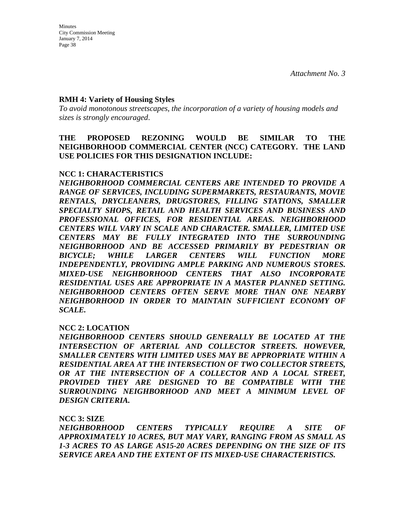### **RMH 4: Variety of Housing Styles**

*To avoid monotonous streetscapes, the incorporation of a variety of housing models and sizes is strongly encouraged*.

**THE PROPOSED REZONING WOULD BE SIMILAR TO THE NEIGHBORHOOD COMMERCIAL CENTER (NCC) CATEGORY. THE LAND USE POLICIES FOR THIS DESIGNATION INCLUDE:** 

### **NCC 1: CHARACTERISTICS**

*NEIGHBORHOOD COMMERCIAL CENTERS ARE INTENDED TO PROVIDE A RANGE OF SERVICES, INCLUDING SUPERMARKETS, RESTAURANTS, MOVIE RENTALS, DRYCLEANERS, DRUGSTORES, FILLING STATIONS, SMALLER SPECIALTY SHOPS, RETAIL AND HEALTH SERVICES AND BUSINESS AND PROFESSIONAL OFFICES, FOR RESIDENTIAL AREAS. NEIGHBORHOOD CENTERS WILL VARY IN SCALE AND CHARACTER. SMALLER, LIMITED USE CENTERS MAY BE FULLY INTEGRATED INTO THE SURROUNDING NEIGHBORHOOD AND BE ACCESSED PRIMARILY BY PEDESTRIAN OR BICYCLE; WHILE LARGER CENTERS WILL FUNCTION MORE INDEPENDENTLY, PROVIDING AMPLE PARKING AND NUMEROUS STORES. MIXED-USE NEIGHBORHOOD CENTERS THAT ALSO INCORPORATE RESIDENTIAL USES ARE APPROPRIATE IN A MASTER PLANNED SETTING. NEIGHBORHOOD CENTERS OFTEN SERVE MORE THAN ONE NEARBY NEIGHBORHOOD IN ORDER TO MAINTAIN SUFFICIENT ECONOMY OF SCALE.* 

### **NCC 2: LOCATION**

*NEIGHBORHOOD CENTERS SHOULD GENERALLY BE LOCATED AT THE INTERSECTION OF ARTERIAL AND COLLECTOR STREETS. HOWEVER, SMALLER CENTERS WITH LIMITED USES MAY BE APPROPRIATE WITHIN A RESIDENTIAL AREA AT THE INTERSECTION OF TWO COLLECTOR STREETS, OR AT THE INTERSECTION OF A COLLECTOR AND A LOCAL STREET, PROVIDED THEY ARE DESIGNED TO BE COMPATIBLE WITH THE SURROUNDING NEIGHBORHOOD AND MEET A MINIMUM LEVEL OF DESIGN CRITERIA.* 

#### **NCC 3: SIZE**

*NEIGHBORHOOD CENTERS TYPICALLY REQUIRE A SITE OF APPROXIMATELY 10 ACRES, BUT MAY VARY, RANGING FROM AS SMALL AS 1-3 ACRES TO AS LARGE AS15-20 ACRES DEPENDING ON THE SIZE OF ITS SERVICE AREA AND THE EXTENT OF ITS MIXED-USE CHARACTERISTICS.*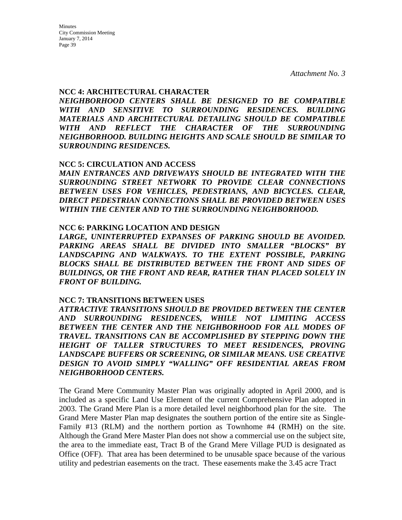Minutes City Commission Meeting January 7, 2014 Page 39

*Attachment No. 3*

#### **NCC 4: ARCHITECTURAL CHARACTER**

*NEIGHBORHOOD CENTERS SHALL BE DESIGNED TO BE COMPATIBLE WITH AND SENSITIVE TO SURROUNDING RESIDENCES. BUILDING MATERIALS AND ARCHITECTURAL DETAILING SHOULD BE COMPATIBLE WITH AND REFLECT THE CHARACTER OF THE SURROUNDING NEIGHBORHOOD. BUILDING HEIGHTS AND SCALE SHOULD BE SIMILAR TO SURROUNDING RESIDENCES.* 

#### **NCC 5: CIRCULATION AND ACCESS**

*MAIN ENTRANCES AND DRIVEWAYS SHOULD BE INTEGRATED WITH THE SURROUNDING STREET NETWORK TO PROVIDE CLEAR CONNECTIONS BETWEEN USES FOR VEHICLES, PEDESTRIANS, AND BICYCLES. CLEAR, DIRECT PEDESTRIAN CONNECTIONS SHALL BE PROVIDED BETWEEN USES WITHIN THE CENTER AND TO THE SURROUNDING NEIGHBORHOOD.* 

#### **NCC 6: PARKING LOCATION AND DESIGN**

*LARGE, UNINTERRUPTED EXPANSES OF PARKING SHOULD BE AVOIDED. PARKING AREAS SHALL BE DIVIDED INTO SMALLER "BLOCKS" BY LANDSCAPING AND WALKWAYS. TO THE EXTENT POSSIBLE, PARKING BLOCKS SHALL BE DISTRIBUTED BETWEEN THE FRONT AND SIDES OF BUILDINGS, OR THE FRONT AND REAR, RATHER THAN PLACED SOLELY IN FRONT OF BUILDING.*

#### **NCC 7: TRANSITIONS BETWEEN USES**

*ATTRACTIVE TRANSITIONS SHOULD BE PROVIDED BETWEEN THE CENTER AND SURROUNDING RESIDENCES, WHILE NOT LIMITING ACCESS BETWEEN THE CENTER AND THE NEIGHBORHOOD FOR ALL MODES OF TRAVEL. TRANSITIONS CAN BE ACCOMPLISHED BY STEPPING DOWN THE HEIGHT OF TALLER STRUCTURES TO MEET RESIDENCES, PROVING LANDSCAPE BUFFERS OR SCREENING, OR SIMILAR MEANS. USE CREATIVE DESIGN TO AVOID SIMPLY "WALLING" OFF RESIDENTIAL AREAS FROM NEIGHBORHOOD CENTERS.* 

The Grand Mere Community Master Plan was originally adopted in April 2000, and is included as a specific Land Use Element of the current Comprehensive Plan adopted in 2003. The Grand Mere Plan is a more detailed level neighborhood plan for the site. The Grand Mere Master Plan map designates the southern portion of the entire site as Single-Family #13 (RLM) and the northern portion as Townhome #4 (RMH) on the site. Although the Grand Mere Master Plan does not show a commercial use on the subject site, the area to the immediate east, Tract B of the Grand Mere Village PUD is designated as Office (OFF). That area has been determined to be unusable space because of the various utility and pedestrian easements on the tract. These easements make the 3.45 acre Tract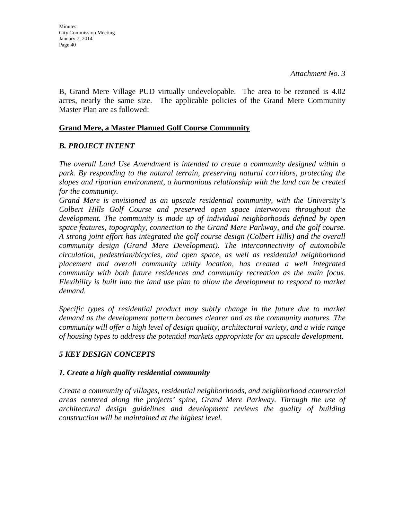B, Grand Mere Village PUD virtually undevelopable. The area to be rezoned is 4.02 acres, nearly the same size. The applicable policies of the Grand Mere Community Master Plan are as followed:

## **Grand Mere, a Master Planned Golf Course Community**

## *B. PROJECT INTENT*

*The overall Land Use Amendment is intended to create a community designed within a park. By responding to the natural terrain, preserving natural corridors, protecting the slopes and riparian environment, a harmonious relationship with the land can be created for the community.*

*Grand Mere is envisioned as an upscale residential community, with the University's Colbert Hills Golf Course and preserved open space interwoven throughout the development. The community is made up of individual neighborhoods defined by open space features, topography, connection to the Grand Mere Parkway, and the golf course. A strong joint effort has integrated the golf course design (Colbert Hills) and the overall community design (Grand Mere Development). The interconnectivity of automobile circulation, pedestrian/bicycles, and open space, as well as residential neighborhood placement and overall community utility location, has created a well integrated community with both future residences and community recreation as the main focus. Flexibility is built into the land use plan to allow the development to respond to market demand.*

*Specific types of residential product may subtly change in the future due to market demand as the development pattern becomes clearer and as the community matures. The community will offer a high level of design quality, architectural variety, and a wide range of housing types to address the potential markets appropriate for an upscale development.*

## *5 KEY DESIGN CONCEPTS*

### *1. Create a high quality residential community*

*Create a community of villages, residential neighborhoods, and neighborhood commercial areas centered along the projects' spine, Grand Mere Parkway. Through the use of architectural design guidelines and development reviews the quality of building construction will be maintained at the highest level.*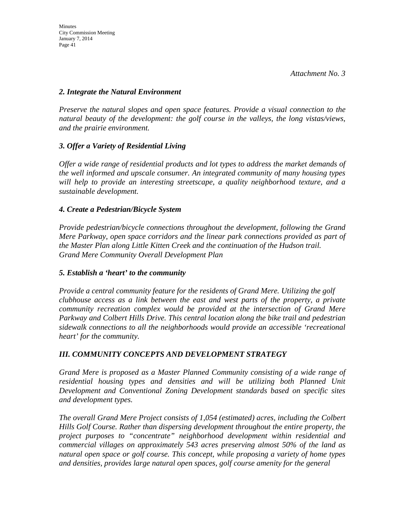## *2. Integrate the Natural Environment*

*Preserve the natural slopes and open space features. Provide a visual connection to the natural beauty of the development: the golf course in the valleys, the long vistas/views, and the prairie environment.*

## *3. Offer a Variety of Residential Living*

*Offer a wide range of residential products and lot types to address the market demands of the well informed and upscale consumer. An integrated community of many housing types will help to provide an interesting streetscape, a quality neighborhood texture, and a sustainable development.*

## *4. Create a Pedestrian/Bicycle System*

*Provide pedestrian/bicycle connections throughout the development, following the Grand Mere Parkway, open space corridors and the linear park connections provided as part of the Master Plan along Little Kitten Creek and the continuation of the Hudson trail. Grand Mere Community Overall Development Plan* 

## *5. Establish a 'heart' to the community*

*Provide a central community feature for the residents of Grand Mere. Utilizing the golf clubhouse access as a link between the east and west parts of the property, a private community recreation complex would be provided at the intersection of Grand Mere Parkway and Colbert Hills Drive. This central location along the bike trail and pedestrian sidewalk connections to all the neighborhoods would provide an accessible 'recreational heart' for the community.*

## *III. COMMUNITY CONCEPTS AND DEVELOPMENT STRATEGY*

*Grand Mere is proposed as a Master Planned Community consisting of a wide range of residential housing types and densities and will be utilizing both Planned Unit Development and Conventional Zoning Development standards based on specific sites and development types.*

*The overall Grand Mere Project consists of 1,054 (estimated) acres, including the Colbert Hills Golf Course. Rather than dispersing development throughout the entire property, the project purposes to "concentrate" neighborhood development within residential and commercial villages on approximately 543 acres preserving almost 50% of the land as natural open space or golf course. This concept, while proposing a variety of home types and densities, provides large natural open spaces, golf course amenity for the general*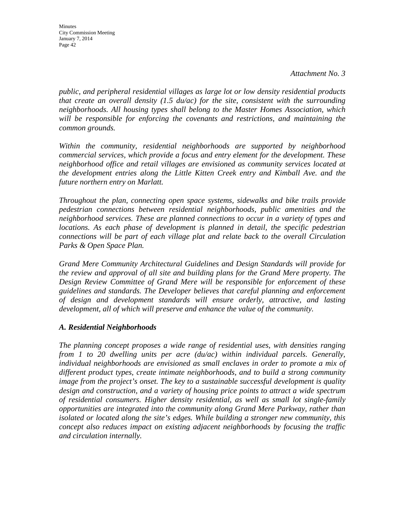**Minutes** City Commission Meeting January 7, 2014 Page 42

*public, and peripheral residential villages as large lot or low density residential products that create an overall density (1.5 du/ac) for the site, consistent with the surrounding neighborhoods. All housing types shall belong to the Master Homes Association, which will be responsible for enforcing the covenants and restrictions, and maintaining the common grounds.*

*Within the community, residential neighborhoods are supported by neighborhood commercial services, which provide a focus and entry element for the development. These neighborhood office and retail villages are envisioned as community services located at the development entries along the Little Kitten Creek entry and Kimball Ave. and the future northern entry on Marlatt.*

*Throughout the plan, connecting open space systems, sidewalks and bike trails provide pedestrian connections between residential neighborhoods, public amenities and the neighborhood services. These are planned connections to occur in a variety of types and locations. As each phase of development is planned in detail, the specific pedestrian connections will be part of each village plat and relate back to the overall Circulation Parks & Open Space Plan.*

*Grand Mere Community Architectural Guidelines and Design Standards will provide for the review and approval of all site and building plans for the Grand Mere property. The Design Review Committee of Grand Mere will be responsible for enforcement of these guidelines and standards. The Developer believes that careful planning and enforcement of design and development standards will ensure orderly, attractive, and lasting development, all of which will preserve and enhance the value of the community.*

### *A. Residential Neighborhoods*

*The planning concept proposes a wide range of residential uses, with densities ranging from 1 to 20 dwelling units per acre (du/ac) within individual parcels. Generally, individual neighborhoods are envisioned as small enclaves in order to promote a mix of different product types, create intimate neighborhoods, and to build a strong community image from the project's onset. The key to a sustainable successful development is quality design and construction, and a variety of housing price points to attract a wide spectrum of residential consumers. Higher density residential, as well as small lot single-family opportunities are integrated into the community along Grand Mere Parkway, rather than isolated or located along the site's edges. While building a stronger new community, this concept also reduces impact on existing adjacent neighborhoods by focusing the traffic and circulation internally.*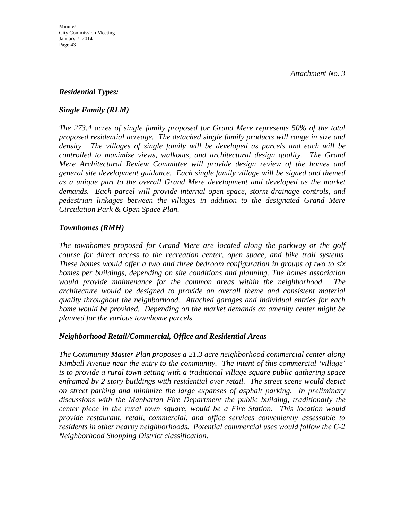## *Residential Types:*

## *Single Family (RLM)*

*The 273.4 acres of single family proposed for Grand Mere represents 50% of the total proposed residential acreage. The detached single family products will range in size and density. The villages of single family will be developed as parcels and each will be controlled to maximize views, walkouts, and architectural design quality. The Grand Mere Architectural Review Committee will provide design review of the homes and general site development guidance. Each single family village will be signed and themed as a unique part to the overall Grand Mere development and developed as the market demands. Each parcel will provide internal open space, storm drainage controls, and pedestrian linkages between the villages in addition to the designated Grand Mere Circulation Park & Open Space Plan.*

## *Townhomes (RMH)*

*The townhomes proposed for Grand Mere are located along the parkway or the golf course for direct access to the recreation center, open space, and bike trail systems. These homes would offer a two and three bedroom configuration in groups of two to six homes per buildings, depending on site conditions and planning. The homes association would provide maintenance for the common areas within the neighborhood. The architecture would be designed to provide an overall theme and consistent material quality throughout the neighborhood. Attached garages and individual entries for each home would be provided. Depending on the market demands an amenity center might be planned for the various townhome parcels.* 

### *Neighborhood Retail/Commercial, Office and Residential Areas*

*The Community Master Plan proposes a 21.3 acre neighborhood commercial center along Kimball Avenue near the entry to the community. The intent of this commercial 'village' is to provide a rural town setting with a traditional village square public gathering space enframed by 2 story buildings with residential over retail. The street scene would depict on street parking and minimize the large expanses of asphalt parking. In preliminary discussions with the Manhattan Fire Department the public building, traditionally the center piece in the rural town square, would be a Fire Station. This location would provide restaurant, retail, commercial, and office services conveniently assessable to residents in other nearby neighborhoods. Potential commercial uses would follow the C-2 Neighborhood Shopping District classification.*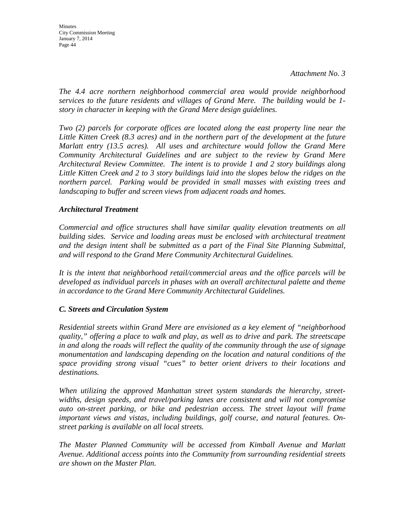**Minutes** City Commission Meeting January 7, 2014 Page 44

*The 4.4 acre northern neighborhood commercial area would provide neighborhood services to the future residents and villages of Grand Mere. The building would be 1 story in character in keeping with the Grand Mere design guidelines.*

*Two (2) parcels for corporate offices are located along the east property line near the Little Kitten Creek (8.3 acres) and in the northern part of the development at the future Marlatt entry (13.5 acres). All uses and architecture would follow the Grand Mere Community Architectural Guidelines and are subject to the review by Grand Mere Architectural Review Committee. The intent is to provide 1 and 2 story buildings along Little Kitten Creek and 2 to 3 story buildings laid into the slopes below the ridges on the northern parcel. Parking would be provided in small masses with existing trees and landscaping to buffer and screen views from adjacent roads and homes.*

## *Architectural Treatment*

*Commercial and office structures shall have similar quality elevation treatments on all*  building sides. Service and loading areas must be enclosed with architectural treatment *and the design intent shall be submitted as a part of the Final Site Planning Submittal, and will respond to the Grand Mere Community Architectural Guidelines.*

*It is the intent that neighborhood retail/commercial areas and the office parcels will be developed as individual parcels in phases with an overall architectural palette and theme in accordance to the Grand Mere Community Architectural Guidelines.*

### *C. Streets and Circulation System*

*Residential streets within Grand Mere are envisioned as a key element of "neighborhood quality," offering a place to walk and play, as well as to drive and park. The streetscape in and along the roads will reflect the quality of the community through the use of signage monumentation and landscaping depending on the location and natural conditions of the space providing strong visual "cues" to better orient drivers to their locations and destinations.*

*When utilizing the approved Manhattan street system standards the hierarchy, streetwidths, design speeds, and travel/parking lanes are consistent and will not compromise auto on-street parking, or bike and pedestrian access. The street layout will frame important views and vistas, including buildings, golf course, and natural features. Onstreet parking is available on all local streets.*

*The Master Planned Community will be accessed from Kimball Avenue and Marlatt Avenue. Additional access points into the Community from surrounding residential streets are shown on the Master Plan.*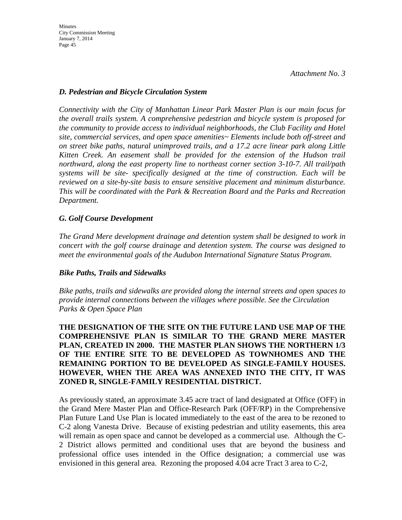## *D. Pedestrian and Bicycle Circulation System*

*Connectivity with the City of Manhattan Linear Park Master Plan is our main focus for the overall trails system. A comprehensive pedestrian and bicycle system is proposed for the community to provide access to individual neighborhoods, the Club Facility and Hotel site, commercial services, and open space amenities~ Elements include both off-street and on street bike paths, natural unimproved trails, and a 17.2 acre linear park along Little Kitten Creek. An easement shall be provided for the extension of the Hudson trail northward, along the east property line to northeast corner section 3-10-7. All trail/path systems will be site- specifically designed at the time of construction. Each will be reviewed on a site-by-site basis to ensure sensitive placement and minimum disturbance. This will be coordinated with the Park & Recreation Board and the Parks and Recreation Department.*

## *G. Golf Course Development*

*The Grand Mere development drainage and detention system shall be designed to work in concert with the golf course drainage and detention system. The course was designed to meet the environmental goals of the Audubon International Signature Status Program.*

## *Bike Paths, Trails and Sidewalks*

*Bike paths, trails and sidewalks are provided along the internal streets and open spaces to provide internal connections between the villages where possible. See the Circulation Parks & Open Space Plan*

**THE DESIGNATION OF THE SITE ON THE FUTURE LAND USE MAP OF THE COMPREHENSIVE PLAN IS SIMILAR TO THE GRAND MERE MASTER PLAN, CREATED IN 2000. THE MASTER PLAN SHOWS THE NORTHERN 1/3 OF THE ENTIRE SITE TO BE DEVELOPED AS TOWNHOMES AND THE REMAINING PORTION TO BE DEVELOPED AS SINGLE-FAMILY HOUSES. HOWEVER, WHEN THE AREA WAS ANNEXED INTO THE CITY, IT WAS ZONED R, SINGLE-FAMILY RESIDENTIAL DISTRICT.** 

As previously stated, an approximate 3.45 acre tract of land designated at Office (OFF) in the Grand Mere Master Plan and Office-Research Park (OFF/RP) in the Comprehensive Plan Future Land Use Plan is located immediately to the east of the area to be rezoned to C-2 along Vanesta Drive. Because of existing pedestrian and utility easements, this area will remain as open space and cannot be developed as a commercial use. Although the C-2 District allows permitted and conditional uses that are beyond the business and professional office uses intended in the Office designation; a commercial use was envisioned in this general area. Rezoning the proposed 4.04 acre Tract 3 area to C-2,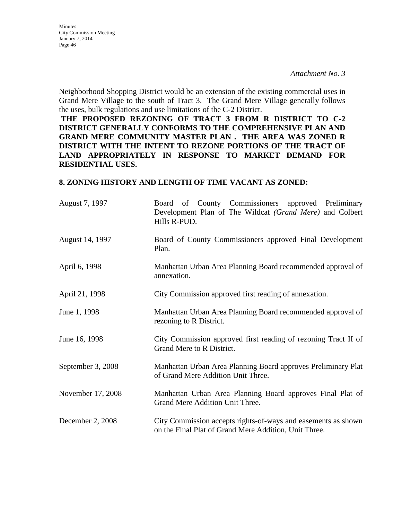Minutes City Commission Meeting January 7, 2014 Page 46

Neighborhood Shopping District would be an extension of the existing commercial uses in Grand Mere Village to the south of Tract 3. The Grand Mere Village generally follows the uses, bulk regulations and use limitations of the C-2 District.

**THE PROPOSED REZONING OF TRACT 3 FROM R DISTRICT TO C-2 DISTRICT GENERALLY CONFORMS TO THE COMPREHENSIVE PLAN AND GRAND MERE COMMUNITY MASTER PLAN . THE AREA WAS ZONED R DISTRICT WITH THE INTENT TO REZONE PORTIONS OF THE TRACT OF LAND APPROPRIATELY IN RESPONSE TO MARKET DEMAND FOR RESIDENTIAL USES.**

### **8. ZONING HISTORY AND LENGTH OF TIME VACANT AS ZONED:**

| August 7, 1997    | Board of County Commissioners<br>approved Preliminary<br>Development Plan of The Wildcat (Grand Mere) and Colbert<br>Hills R-PUD. |  |  |
|-------------------|-----------------------------------------------------------------------------------------------------------------------------------|--|--|
| August 14, 1997   | Board of County Commissioners approved Final Development<br>Plan.                                                                 |  |  |
| April 6, 1998     | Manhattan Urban Area Planning Board recommended approval of<br>annexation.                                                        |  |  |
| April 21, 1998    | City Commission approved first reading of annexation.                                                                             |  |  |
| June 1, 1998      | Manhattan Urban Area Planning Board recommended approval of<br>rezoning to R District.                                            |  |  |
| June 16, 1998     | City Commission approved first reading of rezoning Tract II of<br>Grand Mere to R District.                                       |  |  |
| September 3, 2008 | Manhattan Urban Area Planning Board approves Preliminary Plat<br>of Grand Mere Addition Unit Three.                               |  |  |
| November 17, 2008 | Manhattan Urban Area Planning Board approves Final Plat of<br>Grand Mere Addition Unit Three.                                     |  |  |
| December 2, 2008  | City Commission accepts rights-of-ways and easements as shown<br>on the Final Plat of Grand Mere Addition, Unit Three.            |  |  |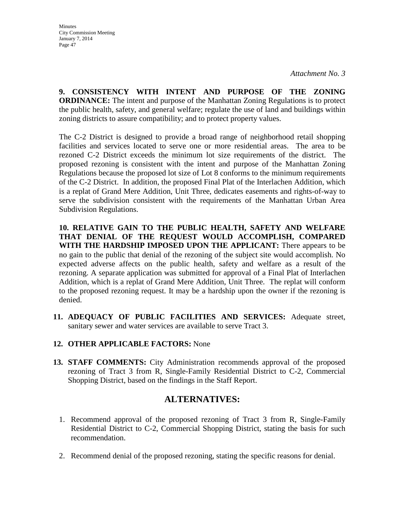**9. CONSISTENCY WITH INTENT AND PURPOSE OF THE ZONING ORDINANCE:** The intent and purpose of the Manhattan Zoning Regulations is to protect the public health, safety, and general welfare; regulate the use of land and buildings within zoning districts to assure compatibility; and to protect property values.

The C-2 District is designed to provide a broad range of neighborhood retail shopping facilities and services located to serve one or more residential areas. The area to be rezoned C-2 District exceeds the minimum lot size requirements of the district. The proposed rezoning is consistent with the intent and purpose of the Manhattan Zoning Regulations because the proposed lot size of Lot 8 conforms to the minimum requirements of the C-2 District. In addition, the proposed Final Plat of the Interlachen Addition, which is a replat of Grand Mere Addition, Unit Three, dedicates easements and rights-of-way to serve the subdivision consistent with the requirements of the Manhattan Urban Area Subdivision Regulations.

**10. RELATIVE GAIN TO THE PUBLIC HEALTH, SAFETY AND WELFARE THAT DENIAL OF THE REQUEST WOULD ACCOMPLISH, COMPARED WITH THE HARDSHIP IMPOSED UPON THE APPLICANT:** There appears to be no gain to the public that denial of the rezoning of the subject site would accomplish. No expected adverse affects on the public health, safety and welfare as a result of the rezoning. A separate application was submitted for approval of a Final Plat of Interlachen Addition, which is a replat of Grand Mere Addition, Unit Three. The replat will conform to the proposed rezoning request. It may be a hardship upon the owner if the rezoning is denied.

- **11. ADEQUACY OF PUBLIC FACILITIES AND SERVICES:** Adequate street, sanitary sewer and water services are available to serve Tract 3.
- **12. OTHER APPLICABLE FACTORS:** None
- **13. STAFF COMMENTS:** City Administration recommends approval of the proposed rezoning of Tract 3 from R, Single-Family Residential District to C-2, Commercial Shopping District, based on the findings in the Staff Report.

## **ALTERNATIVES:**

- 1. Recommend approval of the proposed rezoning of Tract 3 from R, Single-Family Residential District to C-2, Commercial Shopping District, stating the basis for such recommendation.
- 2. Recommend denial of the proposed rezoning, stating the specific reasons for denial.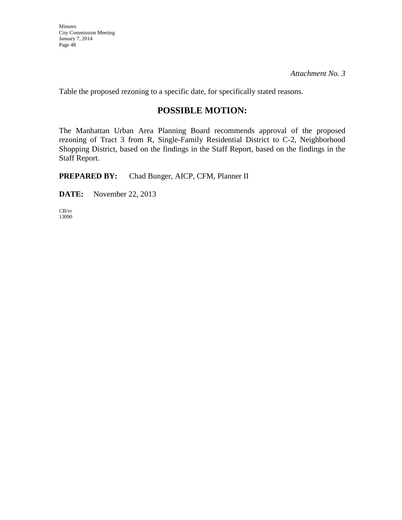Table the proposed rezoning to a specific date, for specifically stated reasons.

# **POSSIBLE MOTION:**

The Manhattan Urban Area Planning Board recommends approval of the proposed rezoning of Tract 3 from R, Single-Family Residential District to C-2, Neighborhood Shopping District, based on the findings in the Staff Report, based on the findings in the Staff Report.

**PREPARED BY:** Chad Bunger, AICP, CFM, Planner II

**DATE:** November 22, 2013

CB/vr 13090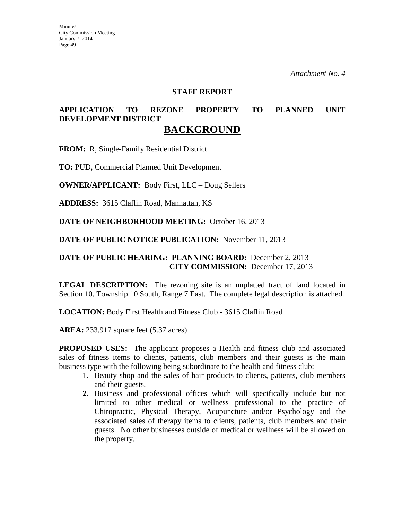#### **STAFF REPORT**

## **APPLICATION TO REZONE PROPERTY TO PLANNED UNIT DEVELOPMENT DISTRICT BACKGROUND**

**FROM:** R, Single-Family Residential District

**TO:** PUD, Commercial Planned Unit Development

**OWNER/APPLICANT:** Body First, LLC – Doug Sellers

**ADDRESS:** 3615 Claflin Road, Manhattan, KS

**DATE OF NEIGHBORHOOD MEETING:** October 16, 2013

**DATE OF PUBLIC NOTICE PUBLICATION:** November 11, 2013

## **DATE OF PUBLIC HEARING: PLANNING BOARD:** December 2, 2013 **CITY COMMISSION:** December 17, 2013

**LEGAL DESCRIPTION:** The rezoning site is an unplatted tract of land located in Section 10, Township 10 South, Range 7 East. The complete legal description is attached.

**LOCATION:** Body First Health and Fitness Club - 3615 Claflin Road

**AREA:** 233,917 square feet (5.37 acres)

**PROPOSED USES:** The applicant proposes a Health and fitness club and associated sales of fitness items to clients, patients, club members and their guests is the main business type with the following being subordinate to the health and fitness club:

- 1. Beauty shop and the sales of hair products to clients, patients, club members and their guests.
- **2.** Business and professional offices which will specifically include but not limited to other medical or wellness professional to the practice of Chiropractic, Physical Therapy, Acupuncture and/or Psychology and the associated sales of therapy items to clients, patients, club members and their guests. No other businesses outside of medical or wellness will be allowed on the property.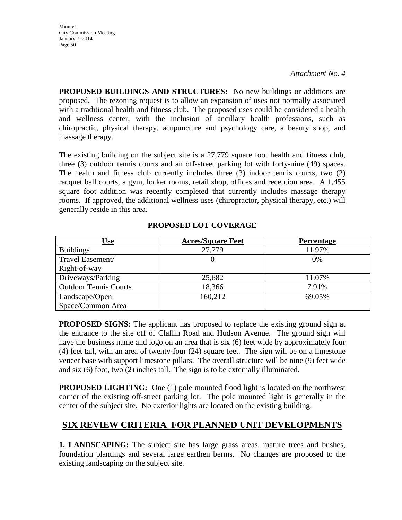**Minutes** City Commission Meeting January 7, 2014 Page 50

*Attachment No. 4*

**PROPOSED BUILDINGS AND STRUCTURES:** No new buildings or additions are proposed. The rezoning request is to allow an expansion of uses not normally associated with a traditional health and fitness club. The proposed uses could be considered a health and wellness center, with the inclusion of ancillary health professions, such as chiropractic, physical therapy, acupuncture and psychology care, a beauty shop, and massage therapy.

The existing building on the subject site is a 27,779 square foot health and fitness club, three (3) outdoor tennis courts and an off-street parking lot with forty-nine (49) spaces. The health and fitness club currently includes three (3) indoor tennis courts, two (2) racquet ball courts, a gym, locker rooms, retail shop, offices and reception area. A 1,455 square foot addition was recently completed that currently includes massage therapy rooms. If approved, the additional wellness uses (chiropractor, physical therapy, etc.) will generally reside in this area.

| Use                          | <b>Acres/Square Feet</b> | <b>Percentage</b> |
|------------------------------|--------------------------|-------------------|
| <b>Buildings</b>             | 27,779                   | 11.97%            |
| Travel Easement/             |                          | 0%                |
| Right-of-way                 |                          |                   |
| Driveways/Parking            | 25,682                   | 11.07%            |
| <b>Outdoor Tennis Courts</b> | 18,366                   | 7.91%             |
| Landscape/Open               | 160,212                  | 69.05%            |
| Space/Common Area            |                          |                   |

## **PROPOSED LOT COVERAGE**

**PROPOSED SIGNS:** The applicant has proposed to replace the existing ground sign at the entrance to the site off of Claflin Road and Hudson Avenue. The ground sign will have the business name and logo on an area that is six (6) feet wide by approximately four (4) feet tall, with an area of twenty-four (24) square feet. The sign will be on a limestone veneer base with support limestone pillars. The overall structure will be nine (9) feet wide and six (6) foot, two (2) inches tall. The sign is to be externally illuminated.

**PROPOSED LIGHTING:** One (1) pole mounted flood light is located on the northwest corner of the existing off-street parking lot. The pole mounted light is generally in the center of the subject site. No exterior lights are located on the existing building.

# **SIX REVIEW CRITERIA FOR PLANNED UNIT DEVELOPMENTS**

**1. LANDSCAPING:** The subject site has large grass areas, mature trees and bushes, foundation plantings and several large earthen berms. No changes are proposed to the existing landscaping on the subject site.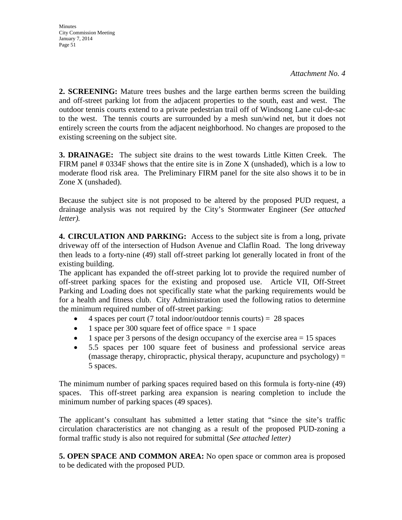**2. SCREENING:** Mature trees bushes and the large earthen berms screen the building and off-street parking lot from the adjacent properties to the south, east and west. The outdoor tennis courts extend to a private pedestrian trail off of Windsong Lane cul-de-sac to the west. The tennis courts are surrounded by a mesh sun/wind net, but it does not entirely screen the courts from the adjacent neighborhood. No changes are proposed to the existing screening on the subject site.

**3. DRAINAGE:** The subject site drains to the west towards Little Kitten Creek. The FIRM panel  $\# 0334F$  shows that the entire site is in Zone X (unshaded), which is a low to moderate flood risk area. The Preliminary FIRM panel for the site also shows it to be in Zone X (unshaded).

Because the subject site is not proposed to be altered by the proposed PUD request, a drainage analysis was not required by the City's Stormwater Engineer (*See attached letter).*

**4. CIRCULATION AND PARKING:** Access to the subject site is from a long, private driveway off of the intersection of Hudson Avenue and Claflin Road. The long driveway then leads to a forty-nine (49) stall off-street parking lot generally located in front of the existing building.

The applicant has expanded the off-street parking lot to provide the required number of off-street parking spaces for the existing and proposed use. Article VII, Off-Street Parking and Loading does not specifically state what the parking requirements would be for a health and fitness club. City Administration used the following ratios to determine the minimum required number of off-street parking:

- 4 spaces per court (7 total indoor/outdoor tennis courts) = 28 spaces
- 1 space per 300 square feet of office space  $= 1$  space
- 1 space per 3 persons of the design occupancy of the exercise area  $= 15$  spaces
- 5.5 spaces per 100 square feet of business and professional service areas (massage therapy, chiropractic, physical therapy, acupuncture and  $psychology$ ) = 5 spaces.

The minimum number of parking spaces required based on this formula is forty-nine (49) spaces. This off-street parking area expansion is nearing completion to include the minimum number of parking spaces (49 spaces).

The applicant's consultant has submitted a letter stating that "since the site's traffic circulation characteristics are not changing as a result of the proposed PUD-zoning a formal traffic study is also not required for submittal (*See attached letter)*

**5. OPEN SPACE AND COMMON AREA:** No open space or common area is proposed to be dedicated with the proposed PUD.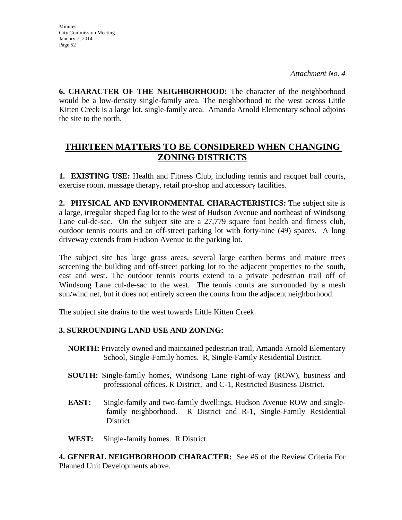**Minutes** City Commission Meeting January 7, 2014 Page 52

**6. CHARACTER OF THE NEIGHBORHOOD:** The character of the neighborhood would be a low-density single-family area. The neighborhood to the west across Little Kitten Creek is a large lot, single-family area. Amanda Arnold Elementary school adjoins the site to the north.

# **THIRTEEN MATTERS TO BE CONSIDERED WHEN CHANGING ZONING DISTRICTS**

**1. EXISTING USE:** Health and Fitness Club, including tennis and racquet ball courts, exercise room, massage therapy, retail pro-shop and accessory facilities.

**2. PHYSICAL AND ENVIRONMENTAL CHARACTERISTICS:** The subject site is a large, irregular shaped flag lot to the west of Hudson Avenue and northeast of Windsong Lane cul-de-sac. On the subject site are a 27,779 square foot health and fitness club, outdoor tennis courts and an off-street parking lot with forty-nine (49) spaces. A long driveway extends from Hudson Avenue to the parking lot.

The subject site has large grass areas, several large earthen berms and mature trees screening the building and off-street parking lot to the adjacent properties to the south, east and west. The outdoor tennis courts extend to a private pedestrian trail off of Windsong Lane cul-de-sac to the west. The tennis courts are surrounded by a mesh sun/wind net, but it does not entirely screen the courts from the adjacent neighborhood.

The subject site drains to the west towards Little Kitten Creek.

## **3. SURROUNDING LAND USE AND ZONING:**

- **NORTH:** Privately owned and maintained pedestrian trail, Amanda Arnold Elementary School, Single-Family homes. R, Single-Family Residential District.
- **SOUTH:** Single-family homes, Windsong Lane right-of-way (ROW), business and professional offices. R District, and C-1, Restricted Business District.
- **EAST:** Single-family and two-family dwellings, Hudson Avenue ROW and singlefamily neighborhood. R District and R-1, Single-Family Residential District.
- **WEST:** Single-family homes. R District.

**4. GENERAL NEIGHBORHOOD CHARACTER:** See #6 of the Review Criteria For Planned Unit Developments above.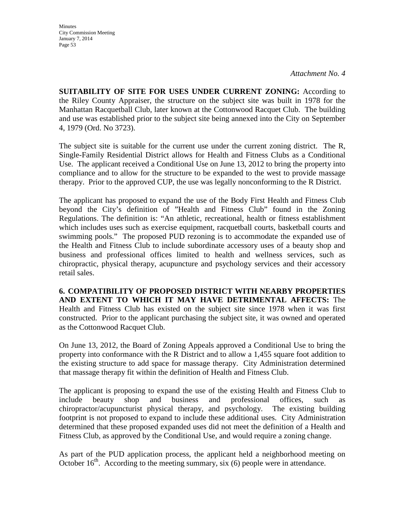**Minutes** City Commission Meeting January 7, 2014 Page 53

**SUITABILITY OF SITE FOR USES UNDER CURRENT ZONING:** According to the Riley County Appraiser, the structure on the subject site was built in 1978 for the Manhattan Racquetball Club, later known at the Cottonwood Racquet Club. The building and use was established prior to the subject site being annexed into the City on September 4, 1979 (Ord. No 3723).

The subject site is suitable for the current use under the current zoning district. The R, Single-Family Residential District allows for Health and Fitness Clubs as a Conditional Use. The applicant received a Conditional Use on June 13, 2012 to bring the property into compliance and to allow for the structure to be expanded to the west to provide massage therapy. Prior to the approved CUP, the use was legally nonconforming to the R District.

The applicant has proposed to expand the use of the Body First Health and Fitness Club beyond the City's definition of "Health and Fitness Club" found in the Zoning Regulations. The definition is: "An athletic, recreational, health or fitness establishment which includes uses such as exercise equipment, racquetball courts, basketball courts and swimming pools." The proposed PUD rezoning is to accommodate the expanded use of the Health and Fitness Club to include subordinate accessory uses of a beauty shop and business and professional offices limited to health and wellness services, such as chiropractic, physical therapy, acupuncture and psychology services and their accessory retail sales.

**6. COMPATIBILITY OF PROPOSED DISTRICT WITH NEARBY PROPERTIES AND EXTENT TO WHICH IT MAY HAVE DETRIMENTAL AFFECTS:** The Health and Fitness Club has existed on the subject site since 1978 when it was first constructed. Prior to the applicant purchasing the subject site, it was owned and operated as the Cottonwood Racquet Club.

On June 13, 2012, the Board of Zoning Appeals approved a Conditional Use to bring the property into conformance with the R District and to allow a 1,455 square foot addition to the existing structure to add space for massage therapy. City Administration determined that massage therapy fit within the definition of Health and Fitness Club.

The applicant is proposing to expand the use of the existing Health and Fitness Club to include beauty shop and business and professional offices, such as chiropractor/acupuncturist physical therapy, and psychology. The existing building footprint is not proposed to expand to include these additional uses. City Administration determined that these proposed expanded uses did not meet the definition of a Health and Fitness Club, as approved by the Conditional Use, and would require a zoning change.

As part of the PUD application process, the applicant held a neighborhood meeting on October  $16<sup>th</sup>$ . According to the meeting summary, six (6) people were in attendance.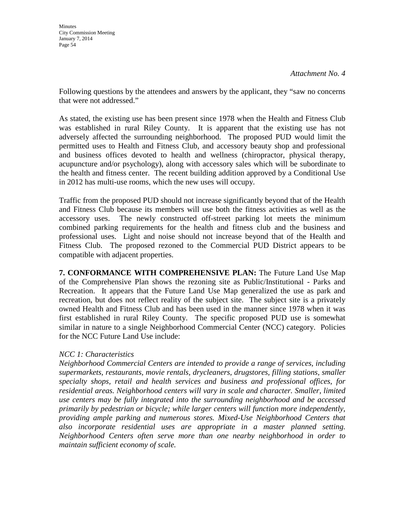Following questions by the attendees and answers by the applicant, they "saw no concerns that were not addressed."

As stated, the existing use has been present since 1978 when the Health and Fitness Club was established in rural Riley County. It is apparent that the existing use has not adversely affected the surrounding neighborhood. The proposed PUD would limit the permitted uses to Health and Fitness Club, and accessory beauty shop and professional and business offices devoted to health and wellness (chiropractor, physical therapy, acupuncture and/or psychology), along with accessory sales which will be subordinate to the health and fitness center. The recent building addition approved by a Conditional Use in 2012 has multi-use rooms, which the new uses will occupy.

Traffic from the proposed PUD should not increase significantly beyond that of the Health and Fitness Club because its members will use both the fitness activities as well as the accessory uses. The newly constructed off-street parking lot meets the minimum combined parking requirements for the health and fitness club and the business and professional uses. Light and noise should not increase beyond that of the Health and Fitness Club. The proposed rezoned to the Commercial PUD District appears to be compatible with adjacent properties.

**7. CONFORMANCE WITH COMPREHENSIVE PLAN:** The Future Land Use Map of the Comprehensive Plan shows the rezoning site as Public/Institutional - Parks and Recreation. It appears that the Future Land Use Map generalized the use as park and recreation, but does not reflect reality of the subject site. The subject site is a privately owned Health and Fitness Club and has been used in the manner since 1978 when it was first established in rural Riley County. The specific proposed PUD use is somewhat similar in nature to a single Neighborhood Commercial Center (NCC) category. Policies for the NCC Future Land Use include:

## *NCC 1: Characteristics*

*Neighborhood Commercial Centers are intended to provide a range of services, including supermarkets, restaurants, movie rentals, drycleaners, drugstores, filling stations, smaller specialty shops, retail and health services and business and professional offices, for residential areas. Neighborhood centers will vary in scale and character. Smaller, limited use centers may be fully integrated into the surrounding neighborhood and be accessed primarily by pedestrian or bicycle; while larger centers will function more independently, providing ample parking and numerous stores. Mixed-Use Neighborhood Centers that also incorporate residential uses are appropriate in a master planned setting. Neighborhood Centers often serve more than one nearby neighborhood in order to maintain sufficient economy of scale.*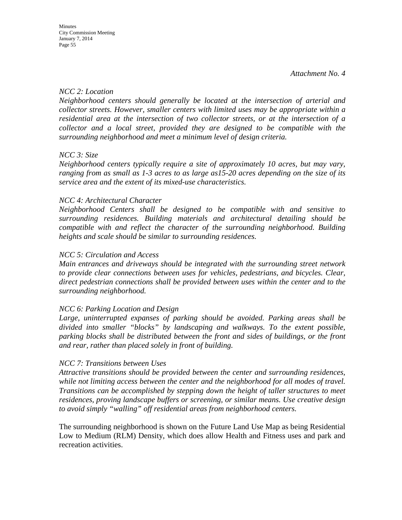## *NCC 2: Location*

*Neighborhood centers should generally be located at the intersection of arterial and collector streets. However, smaller centers with limited uses may be appropriate within a residential area at the intersection of two collector streets, or at the intersection of a collector and a local street, provided they are designed to be compatible with the surrounding neighborhood and meet a minimum level of design criteria.* 

## *NCC 3: Size*

*Neighborhood centers typically require a site of approximately 10 acres, but may vary, ranging from as small as 1-3 acres to as large as15-20 acres depending on the size of its service area and the extent of its mixed-use characteristics.* 

## *NCC 4: Architectural Character*

*Neighborhood Centers shall be designed to be compatible with and sensitive to surrounding residences. Building materials and architectural detailing should be compatible with and reflect the character of the surrounding neighborhood. Building heights and scale should be similar to surrounding residences.*

## *NCC 5: Circulation and Access*

*Main entrances and driveways should be integrated with the surrounding street network to provide clear connections between uses for vehicles, pedestrians, and bicycles. Clear, direct pedestrian connections shall be provided between uses within the center and to the surrounding neighborhood.* 

## *NCC 6: Parking Location and Design*

*Large, uninterrupted expanses of parking should be avoided. Parking areas shall be divided into smaller "blocks" by landscaping and walkways. To the extent possible, parking blocks shall be distributed between the front and sides of buildings, or the front and rear, rather than placed solely in front of building.* 

## *NCC 7: Transitions between Uses*

*Attractive transitions should be provided between the center and surrounding residences, while not limiting access between the center and the neighborhood for all modes of travel. Transitions can be accomplished by stepping down the height of taller structures to meet residences, proving landscape buffers or screening, or similar means. Use creative design to avoid simply "walling" off residential areas from neighborhood centers.*

The surrounding neighborhood is shown on the Future Land Use Map as being Residential Low to Medium (RLM) Density, which does allow Health and Fitness uses and park and recreation activities.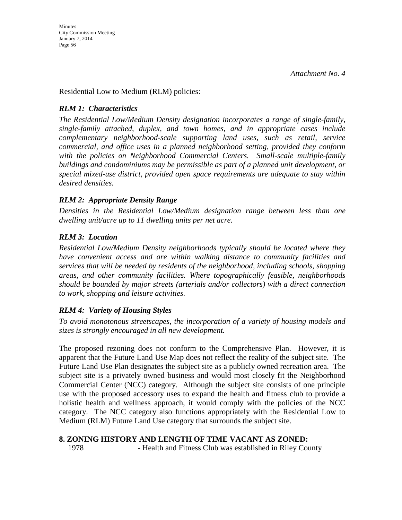Residential Low to Medium (RLM) policies:

## *RLM 1: Characteristics*

*The Residential Low/Medium Density designation incorporates a range of single-family, single-family attached, duplex, and town homes, and in appropriate cases include complementary neighborhood-scale supporting land uses, such as retail, service commercial, and office uses in a planned neighborhood setting, provided they conform with the policies on Neighborhood Commercial Centers. Small-scale multiple-family buildings and condominiums may be permissible as part of a planned unit development, or special mixed-use district, provided open space requirements are adequate to stay within desired densities.* 

## *RLM 2: Appropriate Density Range*

*Densities in the Residential Low/Medium designation range between less than one dwelling unit/acre up to 11 dwelling units per net acre.* 

## *RLM 3: Location*

*Residential Low/Medium Density neighborhoods typically should be located where they have convenient access and are within walking distance to community facilities and services that will be needed by residents of the neighborhood, including schools, shopping areas, and other community facilities. Where topographically feasible, neighborhoods should be bounded by major streets (arterials and/or collectors) with a direct connection to work, shopping and leisure activities.* 

## *RLM 4: Variety of Housing Styles*

*To avoid monotonous streetscapes, the incorporation of a variety of housing models and sizes is strongly encouraged in all new development.* 

The proposed rezoning does not conform to the Comprehensive Plan. However, it is apparent that the Future Land Use Map does not reflect the reality of the subject site. The Future Land Use Plan designates the subject site as a publicly owned recreation area. The subject site is a privately owned business and would most closely fit the Neighborhood Commercial Center (NCC) category. Although the subject site consists of one principle use with the proposed accessory uses to expand the health and fitness club to provide a holistic health and wellness approach, it would comply with the policies of the NCC category. The NCC category also functions appropriately with the Residential Low to Medium (RLM) Future Land Use category that surrounds the subject site.

## **8. ZONING HISTORY AND LENGTH OF TIME VACANT AS ZONED:**

1978 - Health and Fitness Club was established in Riley County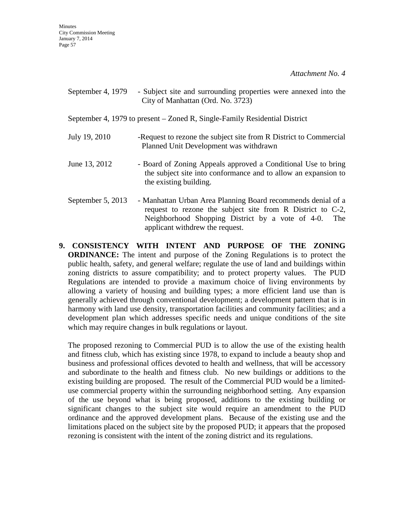September 4, 1979 - Subject site and surrounding properties were annexed into the City of Manhattan (Ord. No. 3723)

September 4, 1979 to present – Zoned R, Single-Family Residential District

- July 19, 2010 -Request to rezone the subject site from R District to Commercial Planned Unit Development was withdrawn
- June 13, 2012 Board of Zoning Appeals approved a Conditional Use to bring the subject site into conformance and to allow an expansion to the existing building.
- September 5, 2013 Manhattan Urban Area Planning Board recommends denial of a request to rezone the subject site from R District to C-2, Neighborhood Shopping District by a vote of 4-0. The applicant withdrew the request.
- **9. CONSISTENCY WITH INTENT AND PURPOSE OF THE ZONING ORDINANCE:** The intent and purpose of the Zoning Regulations is to protect the public health, safety, and general welfare; regulate the use of land and buildings within zoning districts to assure compatibility; and to protect property values. The PUD Regulations are intended to provide a maximum choice of living environments by allowing a variety of housing and building types; a more efficient land use than is generally achieved through conventional development; a development pattern that is in harmony with land use density, transportation facilities and community facilities; and a development plan which addresses specific needs and unique conditions of the site which may require changes in bulk regulations or layout.

The proposed rezoning to Commercial PUD is to allow the use of the existing health and fitness club, which has existing since 1978, to expand to include a beauty shop and business and professional offices devoted to health and wellness, that will be accessory and subordinate to the health and fitness club. No new buildings or additions to the existing building are proposed. The result of the Commercial PUD would be a limiteduse commercial property within the surrounding neighborhood setting. Any expansion of the use beyond what is being proposed, additions to the existing building or significant changes to the subject site would require an amendment to the PUD ordinance and the approved development plans. Because of the existing use and the limitations placed on the subject site by the proposed PUD; it appears that the proposed rezoning is consistent with the intent of the zoning district and its regulations.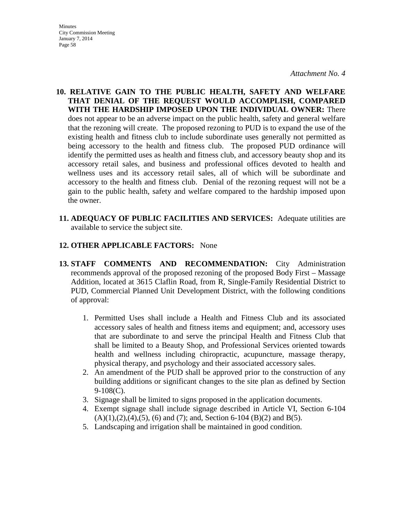- **Minutes** City Commission Meeting January 7, 2014 Page 58
- **10. RELATIVE GAIN TO THE PUBLIC HEALTH, SAFETY AND WELFARE THAT DENIAL OF THE REQUEST WOULD ACCOMPLISH, COMPARED WITH THE HARDSHIP IMPOSED UPON THE INDIVIDUAL OWNER:** There does not appear to be an adverse impact on the public health, safety and general welfare that the rezoning will create. The proposed rezoning to PUD is to expand the use of the existing health and fitness club to include subordinate uses generally not permitted as being accessory to the health and fitness club. The proposed PUD ordinance will identify the permitted uses as health and fitness club, and accessory beauty shop and its accessory retail sales, and business and professional offices devoted to health and wellness uses and its accessory retail sales, all of which will be subordinate and accessory to the health and fitness club. Denial of the rezoning request will not be a gain to the public health, safety and welfare compared to the hardship imposed upon the owner.
- **11. ADEQUACY OF PUBLIC FACILITIES AND SERVICES:** Adequate utilities are available to service the subject site.

## **12. OTHER APPLICABLE FACTORS:** None

- **13. STAFF COMMENTS AND RECOMMENDATION:** City Administration recommends approval of the proposed rezoning of the proposed Body First – Massage Addition, located at 3615 Claflin Road, from R, Single-Family Residential District to PUD, Commercial Planned Unit Development District, with the following conditions of approval:
	- 1. Permitted Uses shall include a Health and Fitness Club and its associated accessory sales of health and fitness items and equipment; and, accessory uses that are subordinate to and serve the principal Health and Fitness Club that shall be limited to a Beauty Shop, and Professional Services oriented towards health and wellness including chiropractic, acupuncture, massage therapy, physical therapy, and psychology and their associated accessory sales.
	- 2. An amendment of the PUD shall be approved prior to the construction of any building additions or significant changes to the site plan as defined by Section 9-108(C).
	- 3. Signage shall be limited to signs proposed in the application documents.
	- 4. Exempt signage shall include signage described in Article VI, Section 6-104  $(A)(1),(2),(4),(5),(6)$  and  $(7)$ ; and, Section 6-104  $(B)(2)$  and  $B(5)$ .
	- 5. Landscaping and irrigation shall be maintained in good condition.